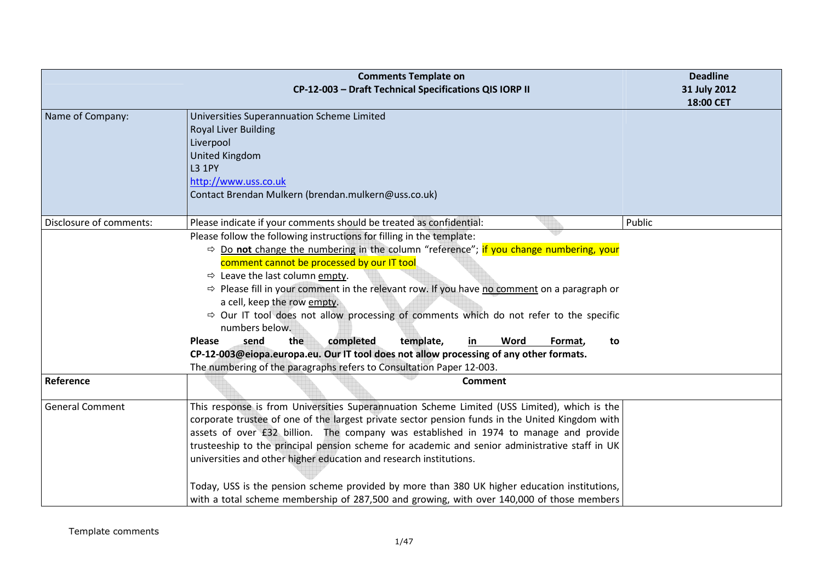|                         | <b>Comments Template on</b><br>CP-12-003 - Draft Technical Specifications QIS IORP II                                                                                                                                                                                                                                                                                                                                                                                                                                                                                                                                                                                                                                                                                                                                                                                       | <b>Deadline</b><br>31 July 2012<br>18:00 CET |
|-------------------------|-----------------------------------------------------------------------------------------------------------------------------------------------------------------------------------------------------------------------------------------------------------------------------------------------------------------------------------------------------------------------------------------------------------------------------------------------------------------------------------------------------------------------------------------------------------------------------------------------------------------------------------------------------------------------------------------------------------------------------------------------------------------------------------------------------------------------------------------------------------------------------|----------------------------------------------|
| Name of Company:        | Universities Superannuation Scheme Limited<br><b>Royal Liver Building</b><br>Liverpool<br><b>United Kingdom</b><br><b>L3 1PY</b><br>http://www.uss.co.uk<br>Contact Brendan Mulkern (brendan.mulkern@uss.co.uk)                                                                                                                                                                                                                                                                                                                                                                                                                                                                                                                                                                                                                                                             |                                              |
| Disclosure of comments: | Please indicate if your comments should be treated as confidential:<br>Please follow the following instructions for filling in the template:<br>$\Rightarrow$ Do not change the numbering in the column "reference"; if you change numbering, your<br>comment cannot be processed by our IT tool<br>$\Rightarrow$ Leave the last column empty.<br>$\Rightarrow$ Please fill in your comment in the relevant row. If you have no comment on a paragraph or<br>a cell, keep the row empty.<br>$\Rightarrow$ Our IT tool does not allow processing of comments which do not refer to the specific<br>numbers below.<br>the<br>completed<br>Word<br><b>Please</b><br>send<br>template,<br>Format,<br>in<br>to<br>CP-12-003@eiopa.europa.eu. Our IT tool does not allow processing of any other formats.<br>The numbering of the paragraphs refers to Consultation Paper 12-003. | Public                                       |
| Reference               | <b>Comment</b>                                                                                                                                                                                                                                                                                                                                                                                                                                                                                                                                                                                                                                                                                                                                                                                                                                                              |                                              |
| <b>General Comment</b>  | This response is from Universities Superannuation Scheme Limited (USS Limited), which is the<br>corporate trustee of one of the largest private sector pension funds in the United Kingdom with<br>assets of over £32 billion. The company was established in 1974 to manage and provide<br>trusteeship to the principal pension scheme for academic and senior administrative staff in UK<br>universities and other higher education and research institutions.<br>Today, USS is the pension scheme provided by more than 380 UK higher education institutions,<br>with a total scheme membership of 287,500 and growing, with over 140,000 of those members                                                                                                                                                                                                               |                                              |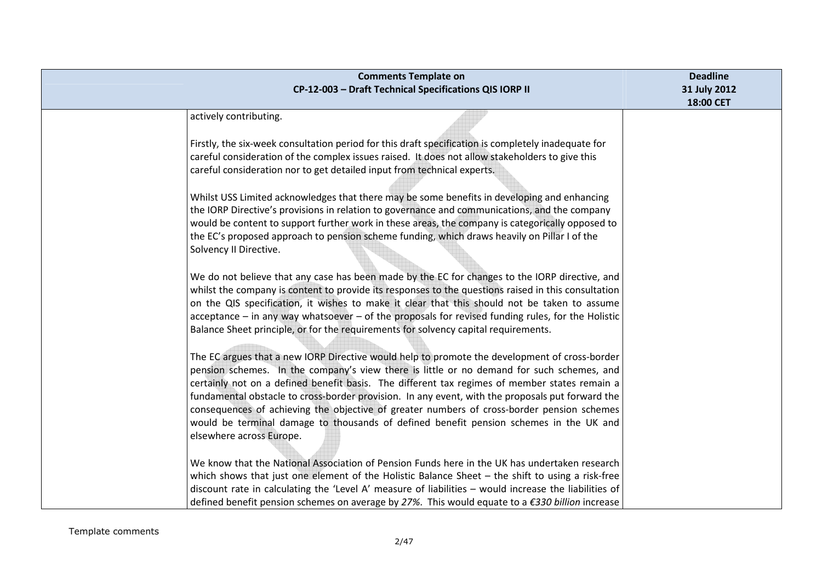| <b>Comments Template on</b><br>CP-12-003 - Draft Technical Specifications QIS IORP II                                                                                                             | <b>Deadline</b><br>31 July 2012 |
|---------------------------------------------------------------------------------------------------------------------------------------------------------------------------------------------------|---------------------------------|
|                                                                                                                                                                                                   | 18:00 CET                       |
| actively contributing.                                                                                                                                                                            |                                 |
| Firstly, the six-week consultation period for this draft specification is completely inadequate for                                                                                               |                                 |
| careful consideration of the complex issues raised. It does not allow stakeholders to give this                                                                                                   |                                 |
| careful consideration nor to get detailed input from technical experts.                                                                                                                           |                                 |
|                                                                                                                                                                                                   |                                 |
| Whilst USS Limited acknowledges that there may be some benefits in developing and enhancing                                                                                                       |                                 |
| the IORP Directive's provisions in relation to governance and communications, and the company                                                                                                     |                                 |
| would be content to support further work in these areas, the company is categorically opposed to                                                                                                  |                                 |
| the EC's proposed approach to pension scheme funding, which draws heavily on Pillar I of the                                                                                                      |                                 |
| Solvency II Directive.                                                                                                                                                                            |                                 |
| We do not believe that any case has been made by the EC for changes to the IORP directive, and                                                                                                    |                                 |
| whilst the company is content to provide its responses to the questions raised in this consultation                                                                                               |                                 |
| on the QIS specification, it wishes to make it clear that this should not be taken to assume                                                                                                      |                                 |
| acceptance - in any way whatsoever - of the proposals for revised funding rules, for the Holistic                                                                                                 |                                 |
| Balance Sheet principle, or for the requirements for solvency capital requirements.                                                                                                               |                                 |
|                                                                                                                                                                                                   |                                 |
| The EC argues that a new IORP Directive would help to promote the development of cross-border                                                                                                     |                                 |
| pension schemes. In the company's view there is little or no demand for such schemes, and                                                                                                         |                                 |
| certainly not on a defined benefit basis. The different tax regimes of member states remain a<br>fundamental obstacle to cross-border provision. In any event, with the proposals put forward the |                                 |
| consequences of achieving the objective of greater numbers of cross-border pension schemes                                                                                                        |                                 |
| would be terminal damage to thousands of defined benefit pension schemes in the UK and                                                                                                            |                                 |
| elsewhere across Europe.                                                                                                                                                                          |                                 |
|                                                                                                                                                                                                   |                                 |
| We know that the National Association of Pension Funds here in the UK has undertaken research                                                                                                     |                                 |
| which shows that just one element of the Holistic Balance Sheet - the shift to using a risk-free                                                                                                  |                                 |
| discount rate in calculating the 'Level A' measure of liabilities - would increase the liabilities of                                                                                             |                                 |
| defined benefit pension schemes on average by 27%. This would equate to a $\epsilon$ 330 billion increase                                                                                         |                                 |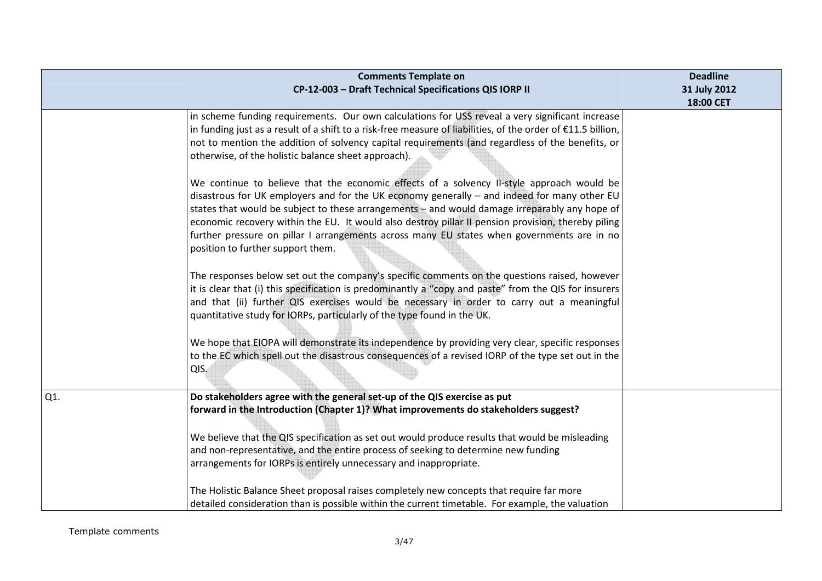|     | <b>Comments Template on</b>                                                                                                                                                                                                                                                                                                                                                                                                                                                                                                                                                                                                                                                                                                                                                                                                                                                                                                                                                                                                                                                                                                                                                                                                                                                                                                                                                                                                                                                                                 | <b>Deadline</b> |
|-----|-------------------------------------------------------------------------------------------------------------------------------------------------------------------------------------------------------------------------------------------------------------------------------------------------------------------------------------------------------------------------------------------------------------------------------------------------------------------------------------------------------------------------------------------------------------------------------------------------------------------------------------------------------------------------------------------------------------------------------------------------------------------------------------------------------------------------------------------------------------------------------------------------------------------------------------------------------------------------------------------------------------------------------------------------------------------------------------------------------------------------------------------------------------------------------------------------------------------------------------------------------------------------------------------------------------------------------------------------------------------------------------------------------------------------------------------------------------------------------------------------------------|-----------------|
|     | CP-12-003 - Draft Technical Specifications QIS IORP II                                                                                                                                                                                                                                                                                                                                                                                                                                                                                                                                                                                                                                                                                                                                                                                                                                                                                                                                                                                                                                                                                                                                                                                                                                                                                                                                                                                                                                                      | 31 July 2012    |
|     | in scheme funding requirements. Our own calculations for USS reveal a very significant increase<br>in funding just as a result of a shift to a risk-free measure of liabilities, of the order of €11.5 billion,<br>not to mention the addition of solvency capital requirements (and regardless of the benefits, or<br>otherwise, of the holistic balance sheet approach).<br>We continue to believe that the economic effects of a solvency II-style approach would be<br>disastrous for UK employers and for the UK economy generally - and indeed for many other EU<br>states that would be subject to these arrangements - and would damage irreparably any hope of<br>economic recovery within the EU. It would also destroy pillar II pension provision, thereby piling<br>further pressure on pillar I arrangements across many EU states when governments are in no<br>position to further support them.<br>The responses below set out the company's specific comments on the questions raised, however<br>it is clear that (i) this specification is predominantly a "copy and paste" from the QIS for insurers<br>and that (ii) further QIS exercises would be necessary in order to carry out a meaningful<br>quantitative study for IORPs, particularly of the type found in the UK.<br>We hope that EIOPA will demonstrate its independence by providing very clear, specific responses<br>to the EC which spell out the disastrous consequences of a revised IORP of the type set out in the | 18:00 CET       |
|     | QIS.                                                                                                                                                                                                                                                                                                                                                                                                                                                                                                                                                                                                                                                                                                                                                                                                                                                                                                                                                                                                                                                                                                                                                                                                                                                                                                                                                                                                                                                                                                        |                 |
| Q1. | Do stakeholders agree with the general set-up of the QIS exercise as put<br>forward in the Introduction (Chapter 1)? What improvements do stakeholders suggest?                                                                                                                                                                                                                                                                                                                                                                                                                                                                                                                                                                                                                                                                                                                                                                                                                                                                                                                                                                                                                                                                                                                                                                                                                                                                                                                                             |                 |
|     | We believe that the QIS specification as set out would produce results that would be misleading<br>and non-representative, and the entire process of seeking to determine new funding<br>arrangements for IORPs is entirely unnecessary and inappropriate.<br>The Holistic Balance Sheet proposal raises completely new concepts that require far more                                                                                                                                                                                                                                                                                                                                                                                                                                                                                                                                                                                                                                                                                                                                                                                                                                                                                                                                                                                                                                                                                                                                                      |                 |
|     | detailed consideration than is possible within the current timetable. For example, the valuation                                                                                                                                                                                                                                                                                                                                                                                                                                                                                                                                                                                                                                                                                                                                                                                                                                                                                                                                                                                                                                                                                                                                                                                                                                                                                                                                                                                                            |                 |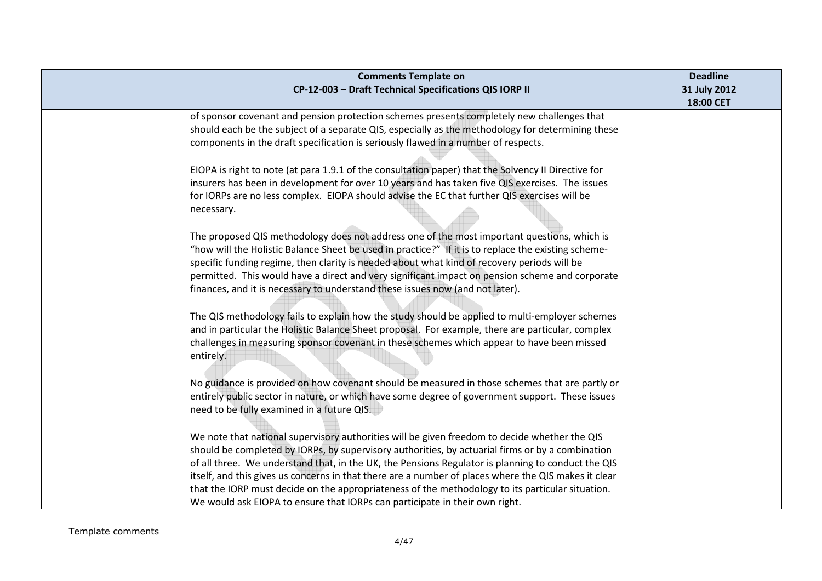| <b>Comments Template on</b><br>CP-12-003 - Draft Technical Specifications QIS IORP II                                                                                                                                                                                                                                                                                                                                                                                                                                                                                                              | <b>Deadline</b><br>31 July 2012<br>18:00 CET |
|----------------------------------------------------------------------------------------------------------------------------------------------------------------------------------------------------------------------------------------------------------------------------------------------------------------------------------------------------------------------------------------------------------------------------------------------------------------------------------------------------------------------------------------------------------------------------------------------------|----------------------------------------------|
| of sponsor covenant and pension protection schemes presents completely new challenges that<br>should each be the subject of a separate QIS, especially as the methodology for determining these<br>components in the draft specification is seriously flawed in a number of respects.                                                                                                                                                                                                                                                                                                              |                                              |
| EIOPA is right to note (at para 1.9.1 of the consultation paper) that the Solvency II Directive for<br>insurers has been in development for over 10 years and has taken five QIS exercises. The issues<br>for IORPs are no less complex. EIOPA should advise the EC that further QIS exercises will be<br>necessary.                                                                                                                                                                                                                                                                               |                                              |
| The proposed QIS methodology does not address one of the most important questions, which is<br>"how will the Holistic Balance Sheet be used in practice?" If it is to replace the existing scheme-<br>specific funding regime, then clarity is needed about what kind of recovery periods will be<br>permitted. This would have a direct and very significant impact on pension scheme and corporate<br>finances, and it is necessary to understand these issues now (and not later).                                                                                                              |                                              |
| The QIS methodology fails to explain how the study should be applied to multi-employer schemes<br>and in particular the Holistic Balance Sheet proposal. For example, there are particular, complex<br>challenges in measuring sponsor covenant in these schemes which appear to have been missed<br>entirely.                                                                                                                                                                                                                                                                                     |                                              |
| No guidance is provided on how covenant should be measured in those schemes that are partly or<br>entirely public sector in nature, or which have some degree of government support. These issues<br>need to be fully examined in a future QIS.                                                                                                                                                                                                                                                                                                                                                    |                                              |
| We note that national supervisory authorities will be given freedom to decide whether the QIS<br>should be completed by IORPs, by supervisory authorities, by actuarial firms or by a combination<br>of all three. We understand that, in the UK, the Pensions Regulator is planning to conduct the QIS<br>itself, and this gives us concerns in that there are a number of places where the QIS makes it clear<br>that the IORP must decide on the appropriateness of the methodology to its particular situation.<br>We would ask EIOPA to ensure that IORPs can participate in their own right. |                                              |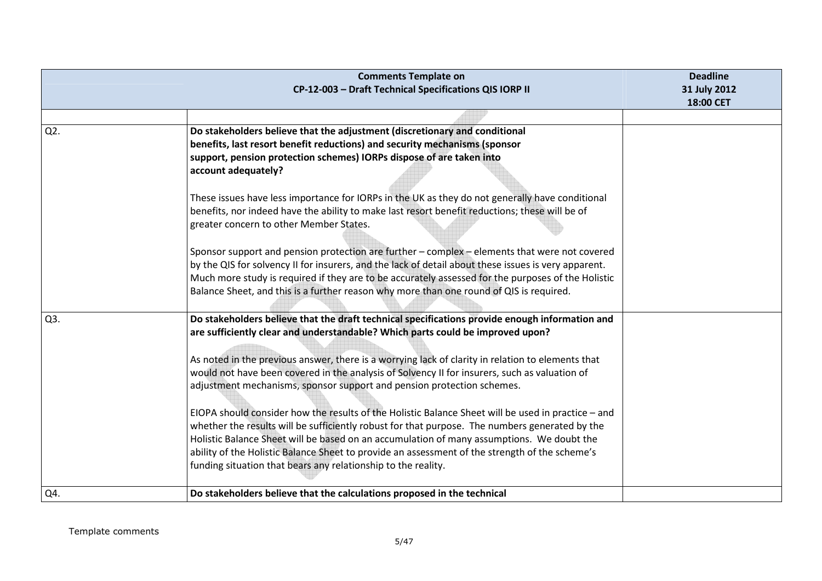|     | <b>Comments Template on</b>                                                                          | <b>Deadline</b> |
|-----|------------------------------------------------------------------------------------------------------|-----------------|
|     | CP-12-003 - Draft Technical Specifications QIS IORP II                                               | 31 July 2012    |
|     |                                                                                                      | 18:00 CET       |
|     |                                                                                                      |                 |
| Q2. | Do stakeholders believe that the adjustment (discretionary and conditional                           |                 |
|     | benefits, last resort benefit reductions) and security mechanisms (sponsor                           |                 |
|     | support, pension protection schemes) IORPs dispose of are taken into                                 |                 |
|     | account adequately?                                                                                  |                 |
|     |                                                                                                      |                 |
|     | These issues have less importance for IORPs in the UK as they do not generally have conditional      |                 |
|     | benefits, nor indeed have the ability to make last resort benefit reductions; these will be of       |                 |
|     | greater concern to other Member States.                                                              |                 |
|     |                                                                                                      |                 |
|     | Sponsor support and pension protection are further - complex - elements that were not covered        |                 |
|     | by the QIS for solvency II for insurers, and the lack of detail about these issues is very apparent. |                 |
|     | Much more study is required if they are to be accurately assessed for the purposes of the Holistic   |                 |
|     | Balance Sheet, and this is a further reason why more than one round of QIS is required.              |                 |
|     |                                                                                                      |                 |
| Q3. | Do stakeholders believe that the draft technical specifications provide enough information and       |                 |
|     | are sufficiently clear and understandable? Which parts could be improved upon?                       |                 |
|     |                                                                                                      |                 |
|     | As noted in the previous answer, there is a worrying lack of clarity in relation to elements that    |                 |
|     | would not have been covered in the analysis of Solvency II for insurers, such as valuation of        |                 |
|     | adjustment mechanisms, sponsor support and pension protection schemes.                               |                 |
|     |                                                                                                      |                 |
|     | EIOPA should consider how the results of the Holistic Balance Sheet will be used in practice - and   |                 |
|     | whether the results will be sufficiently robust for that purpose. The numbers generated by the       |                 |
|     | Holistic Balance Sheet will be based on an accumulation of many assumptions. We doubt the            |                 |
|     | ability of the Holistic Balance Sheet to provide an assessment of the strength of the scheme's       |                 |
|     | funding situation that bears any relationship to the reality.                                        |                 |
|     |                                                                                                      |                 |
| Q4. | Do stakeholders believe that the calculations proposed in the technical                              |                 |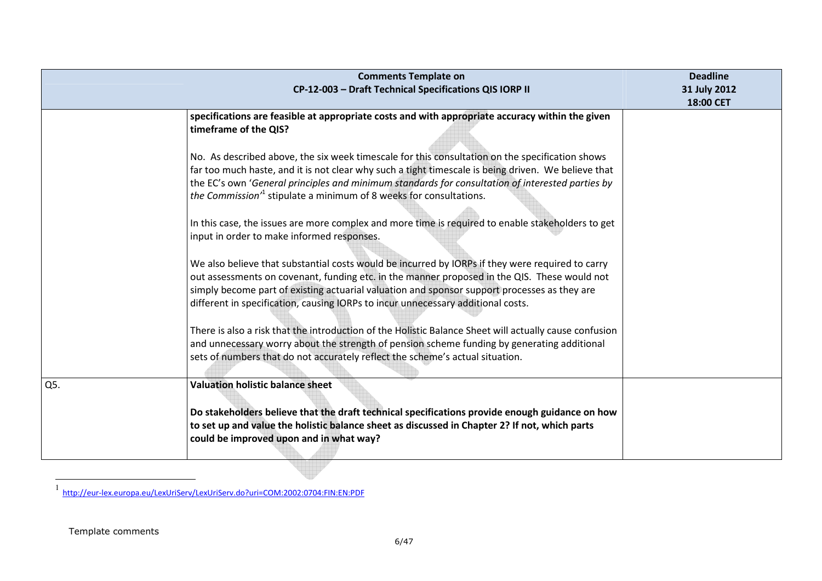|     | <b>Comments Template on</b>                                                                                                                                                                                                                                                                                                                                                                 | <b>Deadline</b>           |
|-----|---------------------------------------------------------------------------------------------------------------------------------------------------------------------------------------------------------------------------------------------------------------------------------------------------------------------------------------------------------------------------------------------|---------------------------|
|     | CP-12-003 - Draft Technical Specifications QIS IORP II                                                                                                                                                                                                                                                                                                                                      | 31 July 2012<br>18:00 CET |
|     | specifications are feasible at appropriate costs and with appropriate accuracy within the given<br>timeframe of the QIS?                                                                                                                                                                                                                                                                    |                           |
|     | No. As described above, the six week timescale for this consultation on the specification shows<br>far too much haste, and it is not clear why such a tight timescale is being driven. We believe that<br>the EC's own 'General principles and minimum standards for consultation of interested parties by<br>the Commission <sup>1</sup> stipulate a minimum of 8 weeks for consultations. |                           |
|     | In this case, the issues are more complex and more time is required to enable stakeholders to get<br>input in order to make informed responses.                                                                                                                                                                                                                                             |                           |
|     | We also believe that substantial costs would be incurred by IORPs if they were required to carry<br>out assessments on covenant, funding etc. in the manner proposed in the QIS. These would not<br>simply become part of existing actuarial valuation and sponsor support processes as they are<br>different in specification, causing IORPs to incur unnecessary additional costs.        |                           |
|     | There is also a risk that the introduction of the Holistic Balance Sheet will actually cause confusion<br>and unnecessary worry about the strength of pension scheme funding by generating additional<br>sets of numbers that do not accurately reflect the scheme's actual situation.                                                                                                      |                           |
| Q5. | <b>Valuation holistic balance sheet</b>                                                                                                                                                                                                                                                                                                                                                     |                           |
|     | Do stakeholders believe that the draft technical specifications provide enough guidance on how<br>to set up and value the holistic balance sheet as discussed in Chapter 2? If not, which parts<br>could be improved upon and in what way?                                                                                                                                                  |                           |

<sup>1</sup> http://eur-lex.europa.eu/LexUriServ/LexUriServ.do?uri=COM:2002:0704:FIN:EN:PDF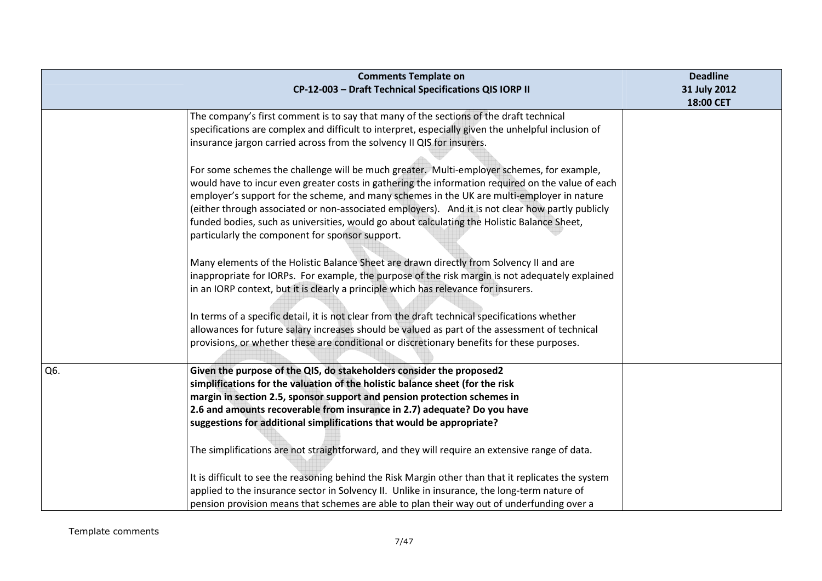|     | <b>Comments Template on</b><br>CP-12-003 - Draft Technical Specifications QIS IORP II                                                                                                                                                                                                                                                                                                                                                                                                                                                              | <b>Deadline</b><br>31 July 2012<br>18:00 CET |
|-----|----------------------------------------------------------------------------------------------------------------------------------------------------------------------------------------------------------------------------------------------------------------------------------------------------------------------------------------------------------------------------------------------------------------------------------------------------------------------------------------------------------------------------------------------------|----------------------------------------------|
|     | The company's first comment is to say that many of the sections of the draft technical<br>specifications are complex and difficult to interpret, especially given the unhelpful inclusion of<br>insurance jargon carried across from the solvency II QIS for insurers.                                                                                                                                                                                                                                                                             |                                              |
|     | For some schemes the challenge will be much greater. Multi-employer schemes, for example,<br>would have to incur even greater costs in gathering the information required on the value of each<br>employer's support for the scheme, and many schemes in the UK are multi-employer in nature<br>(either through associated or non-associated employers). And it is not clear how partly publicly<br>funded bodies, such as universities, would go about calculating the Holistic Balance Sheet,<br>particularly the component for sponsor support. |                                              |
|     | Many elements of the Holistic Balance Sheet are drawn directly from Solvency II and are<br>inappropriate for IORPs. For example, the purpose of the risk margin is not adequately explained<br>in an IORP context, but it is clearly a principle which has relevance for insurers.                                                                                                                                                                                                                                                                 |                                              |
|     | In terms of a specific detail, it is not clear from the draft technical specifications whether<br>allowances for future salary increases should be valued as part of the assessment of technical<br>provisions, or whether these are conditional or discretionary benefits for these purposes.                                                                                                                                                                                                                                                     |                                              |
| Q6. | Given the purpose of the QIS, do stakeholders consider the proposed2<br>simplifications for the valuation of the holistic balance sheet (for the risk<br>margin in section 2.5, sponsor support and pension protection schemes in<br>2.6 and amounts recoverable from insurance in 2.7) adequate? Do you have<br>suggestions for additional simplifications that would be appropriate?                                                                                                                                                             |                                              |
|     | The simplifications are not straightforward, and they will require an extensive range of data.<br>It is difficult to see the reasoning behind the Risk Margin other than that it replicates the system<br>applied to the insurance sector in Solvency II. Unlike in insurance, the long-term nature of<br>pension provision means that schemes are able to plan their way out of underfunding over a                                                                                                                                               |                                              |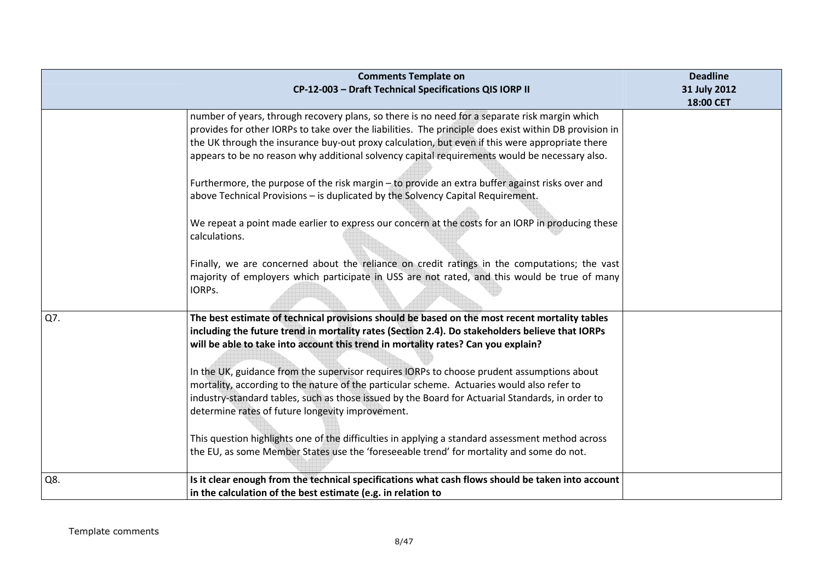|     | <b>Comments Template on</b><br>CP-12-003 - Draft Technical Specifications QIS IORP II                                                                                                                                                                                                                                                                                                                       | <b>Deadline</b><br>31 July 2012 |
|-----|-------------------------------------------------------------------------------------------------------------------------------------------------------------------------------------------------------------------------------------------------------------------------------------------------------------------------------------------------------------------------------------------------------------|---------------------------------|
|     |                                                                                                                                                                                                                                                                                                                                                                                                             | 18:00 CET                       |
|     | number of years, through recovery plans, so there is no need for a separate risk margin which<br>provides for other IORPs to take over the liabilities. The principle does exist within DB provision in<br>the UK through the insurance buy-out proxy calculation, but even if this were appropriate there<br>appears to be no reason why additional solvency capital requirements would be necessary also. |                                 |
|     | Furthermore, the purpose of the risk margin - to provide an extra buffer against risks over and<br>above Technical Provisions - is duplicated by the Solvency Capital Requirement.                                                                                                                                                                                                                          |                                 |
|     | We repeat a point made earlier to express our concern at the costs for an IORP in producing these<br>calculations.                                                                                                                                                                                                                                                                                          |                                 |
|     | Finally, we are concerned about the reliance on credit ratings in the computations; the vast<br>majority of employers which participate in USS are not rated, and this would be true of many<br>IORPs.                                                                                                                                                                                                      |                                 |
| Q7. | The best estimate of technical provisions should be based on the most recent mortality tables<br>including the future trend in mortality rates (Section 2.4). Do stakeholders believe that IORPs<br>will be able to take into account this trend in mortality rates? Can you explain?                                                                                                                       |                                 |
|     | In the UK, guidance from the supervisor requires IORPs to choose prudent assumptions about<br>mortality, according to the nature of the particular scheme. Actuaries would also refer to<br>industry-standard tables, such as those issued by the Board for Actuarial Standards, in order to<br>determine rates of future longevity improvement.                                                            |                                 |
|     | This question highlights one of the difficulties in applying a standard assessment method across<br>the EU, as some Member States use the 'foreseeable trend' for mortality and some do not.                                                                                                                                                                                                                |                                 |
| Q8. | Is it clear enough from the technical specifications what cash flows should be taken into account<br>in the calculation of the best estimate (e.g. in relation to                                                                                                                                                                                                                                           |                                 |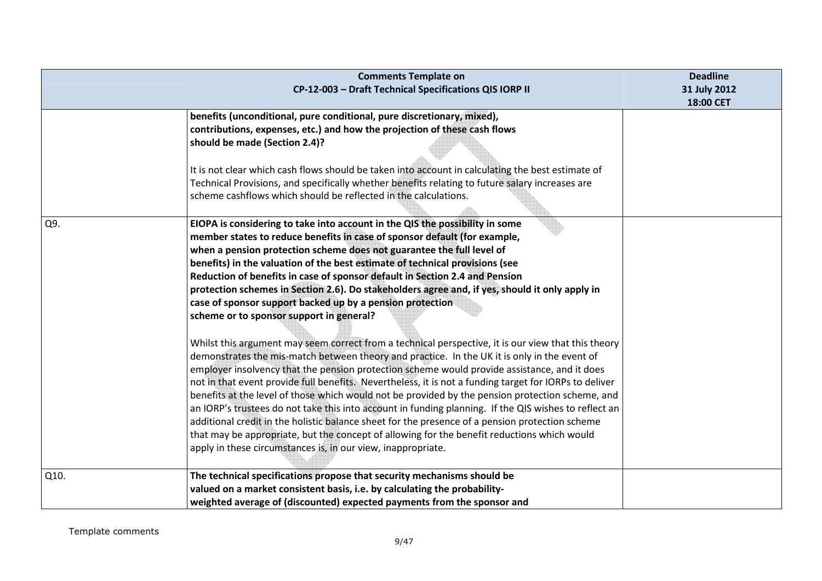|      | <b>Comments Template on</b><br>CP-12-003 - Draft Technical Specifications QIS IORP II                                                                                                                                                                                                                                                                                                                                                                                                                                                                                                                                                                                                                                                                                                                                                                                                                                                                                                                                                                                                                                                                                                                                                                                                                                                                                                                                                                                                                        | <b>Deadline</b><br>31 July 2012<br>18:00 CET |
|------|--------------------------------------------------------------------------------------------------------------------------------------------------------------------------------------------------------------------------------------------------------------------------------------------------------------------------------------------------------------------------------------------------------------------------------------------------------------------------------------------------------------------------------------------------------------------------------------------------------------------------------------------------------------------------------------------------------------------------------------------------------------------------------------------------------------------------------------------------------------------------------------------------------------------------------------------------------------------------------------------------------------------------------------------------------------------------------------------------------------------------------------------------------------------------------------------------------------------------------------------------------------------------------------------------------------------------------------------------------------------------------------------------------------------------------------------------------------------------------------------------------------|----------------------------------------------|
|      | benefits (unconditional, pure conditional, pure discretionary, mixed),<br>contributions, expenses, etc.) and how the projection of these cash flows<br>should be made (Section 2.4)?<br>It is not clear which cash flows should be taken into account in calculating the best estimate of<br>Technical Provisions, and specifically whether benefits relating to future salary increases are<br>scheme cashflows which should be reflected in the calculations.                                                                                                                                                                                                                                                                                                                                                                                                                                                                                                                                                                                                                                                                                                                                                                                                                                                                                                                                                                                                                                              |                                              |
| Q9.  | EIOPA is considering to take into account in the QIS the possibility in some<br>member states to reduce benefits in case of sponsor default (for example,<br>when a pension protection scheme does not guarantee the full level of<br>benefits) in the valuation of the best estimate of technical provisions (see<br>Reduction of benefits in case of sponsor default in Section 2.4 and Pension<br>protection schemes in Section 2.6). Do stakeholders agree and, if yes, should it only apply in<br>case of sponsor support backed up by a pension protection<br>scheme or to sponsor support in general?<br>Whilst this argument may seem correct from a technical perspective, it is our view that this theory<br>demonstrates the mis-match between theory and practice. In the UK it is only in the event of<br>employer insolvency that the pension protection scheme would provide assistance, and it does<br>not in that event provide full benefits. Nevertheless, it is not a funding target for IORPs to deliver<br>benefits at the level of those which would not be provided by the pension protection scheme, and<br>an IORP's trustees do not take this into account in funding planning. If the QIS wishes to reflect an<br>additional credit in the holistic balance sheet for the presence of a pension protection scheme<br>that may be appropriate, but the concept of allowing for the benefit reductions which would<br>apply in these circumstances is, in our view, inappropriate. |                                              |
| Q10. | The technical specifications propose that security mechanisms should be<br>valued on a market consistent basis, i.e. by calculating the probability-<br>weighted average of (discounted) expected payments from the sponsor and                                                                                                                                                                                                                                                                                                                                                                                                                                                                                                                                                                                                                                                                                                                                                                                                                                                                                                                                                                                                                                                                                                                                                                                                                                                                              |                                              |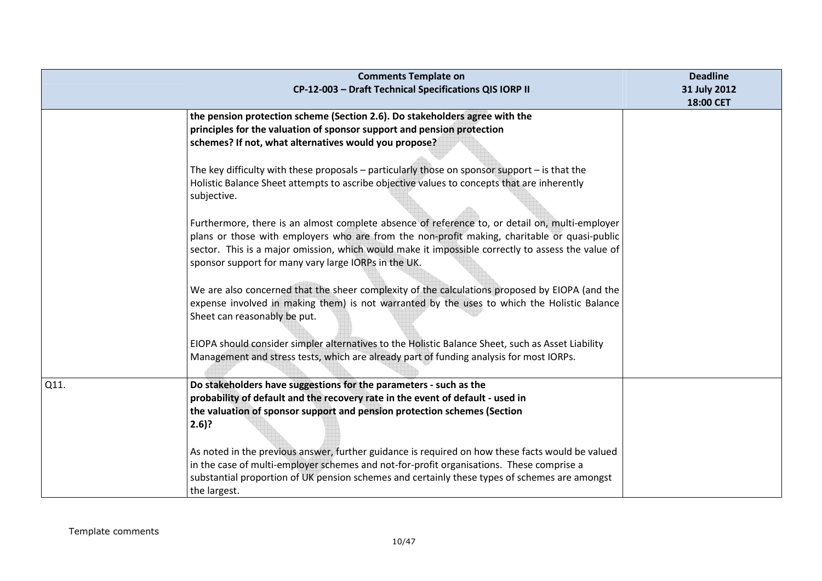|      | <b>Comments Template on</b><br>CP-12-003 - Draft Technical Specifications QIS IORP II                                                                                                                                                                                                                                                                       | <b>Deadline</b><br>31 July 2012<br>18:00 CET |
|------|-------------------------------------------------------------------------------------------------------------------------------------------------------------------------------------------------------------------------------------------------------------------------------------------------------------------------------------------------------------|----------------------------------------------|
|      | the pension protection scheme (Section 2.6). Do stakeholders agree with the<br>principles for the valuation of sponsor support and pension protection<br>schemes? If not, what alternatives would you propose?                                                                                                                                              |                                              |
|      | The key difficulty with these proposals $-$ particularly those on sponsor support $-$ is that the<br>Holistic Balance Sheet attempts to ascribe objective values to concepts that are inherently<br>subjective.                                                                                                                                             |                                              |
|      | Furthermore, there is an almost complete absence of reference to, or detail on, multi-employer<br>plans or those with employers who are from the non-profit making, charitable or quasi-public<br>sector. This is a major omission, which would make it impossible correctly to assess the value of<br>sponsor support for many vary large IORPs in the UK. |                                              |
|      | We are also concerned that the sheer complexity of the calculations proposed by EIOPA (and the<br>expense involved in making them) is not warranted by the uses to which the Holistic Balance<br>Sheet can reasonably be put.                                                                                                                               |                                              |
|      | EIOPA should consider simpler alternatives to the Holistic Balance Sheet, such as Asset Liability<br>Management and stress tests, which are already part of funding analysis for most IORPs.                                                                                                                                                                |                                              |
| Q11. | Do stakeholders have suggestions for the parameters - such as the<br>probability of default and the recovery rate in the event of default - used in<br>the valuation of sponsor support and pension protection schemes (Section<br>$2.6$ ?                                                                                                                  |                                              |
|      | As noted in the previous answer, further guidance is required on how these facts would be valued<br>in the case of multi-employer schemes and not-for-profit organisations. These comprise a<br>substantial proportion of UK pension schemes and certainly these types of schemes are amongst<br>the largest.                                               |                                              |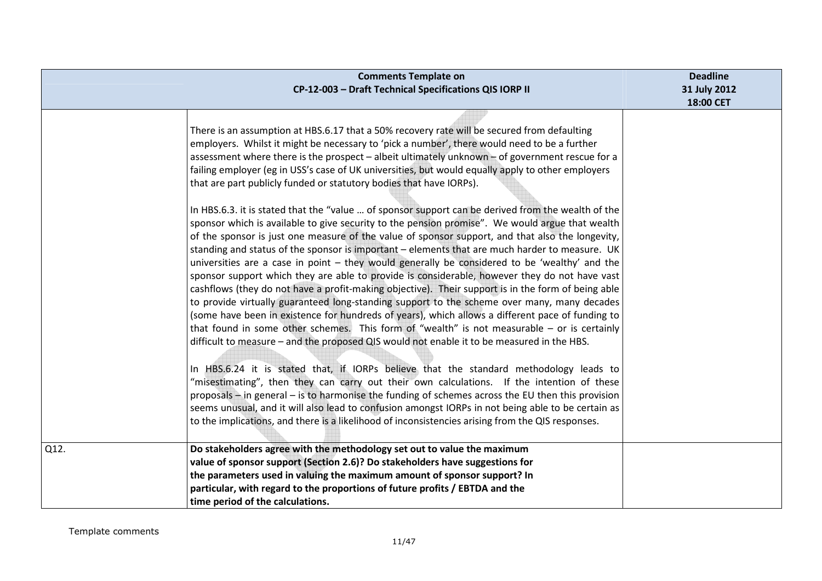|      | <b>Comments Template on</b><br>CP-12-003 - Draft Technical Specifications QIS IORP II                                                                                                                                                                                                                                                                                                                                                                                                                                                                                                                                                                                                                                                                                                                                                                                                                                                                                                                                                                                                                                                                                                                                                                                                                                                                                                                                                                                                                                                                                                                                                                                                                                                                                                                                                                                                                                                                                                                                                                                                                       | <b>Deadline</b><br>31 July 2012<br>18:00 CET |
|------|-------------------------------------------------------------------------------------------------------------------------------------------------------------------------------------------------------------------------------------------------------------------------------------------------------------------------------------------------------------------------------------------------------------------------------------------------------------------------------------------------------------------------------------------------------------------------------------------------------------------------------------------------------------------------------------------------------------------------------------------------------------------------------------------------------------------------------------------------------------------------------------------------------------------------------------------------------------------------------------------------------------------------------------------------------------------------------------------------------------------------------------------------------------------------------------------------------------------------------------------------------------------------------------------------------------------------------------------------------------------------------------------------------------------------------------------------------------------------------------------------------------------------------------------------------------------------------------------------------------------------------------------------------------------------------------------------------------------------------------------------------------------------------------------------------------------------------------------------------------------------------------------------------------------------------------------------------------------------------------------------------------------------------------------------------------------------------------------------------------|----------------------------------------------|
|      | There is an assumption at HBS.6.17 that a 50% recovery rate will be secured from defaulting<br>employers. Whilst it might be necessary to 'pick a number', there would need to be a further<br>assessment where there is the prospect - albeit ultimately unknown - of government rescue for a<br>failing employer (eg in USS's case of UK universities, but would equally apply to other employers<br>that are part publicly funded or statutory bodies that have IORPs).<br>In HBS.6.3. it is stated that the "value  of sponsor support can be derived from the wealth of the<br>sponsor which is available to give security to the pension promise". We would argue that wealth<br>of the sponsor is just one measure of the value of sponsor support, and that also the longevity,<br>standing and status of the sponsor is important - elements that are much harder to measure. UK<br>universities are a case in point - they would generally be considered to be 'wealthy' and the<br>sponsor support which they are able to provide is considerable, however they do not have vast<br>cashflows (they do not have a profit-making objective). Their support is in the form of being able<br>to provide virtually guaranteed long-standing support to the scheme over many, many decades<br>(some have been in existence for hundreds of years), which allows a different pace of funding to<br>that found in some other schemes. This form of "wealth" is not measurable $-$ or is certainly<br>difficult to measure - and the proposed QIS would not enable it to be measured in the HBS.<br>In HBS.6.24 it is stated that, if IORPs believe that the standard methodology leads to<br>"misestimating", then they can carry out their own calculations. If the intention of these<br>proposals – in general – is to harmonise the funding of schemes across the EU then this provision<br>seems unusual, and it will also lead to confusion amongst IORPs in not being able to be certain as<br>to the implications, and there is a likelihood of inconsistencies arising from the QIS responses. |                                              |
| Q12. | Do stakeholders agree with the methodology set out to value the maximum<br>value of sponsor support (Section 2.6)? Do stakeholders have suggestions for<br>the parameters used in valuing the maximum amount of sponsor support? In<br>particular, with regard to the proportions of future profits / EBTDA and the<br>time period of the calculations.                                                                                                                                                                                                                                                                                                                                                                                                                                                                                                                                                                                                                                                                                                                                                                                                                                                                                                                                                                                                                                                                                                                                                                                                                                                                                                                                                                                                                                                                                                                                                                                                                                                                                                                                                     |                                              |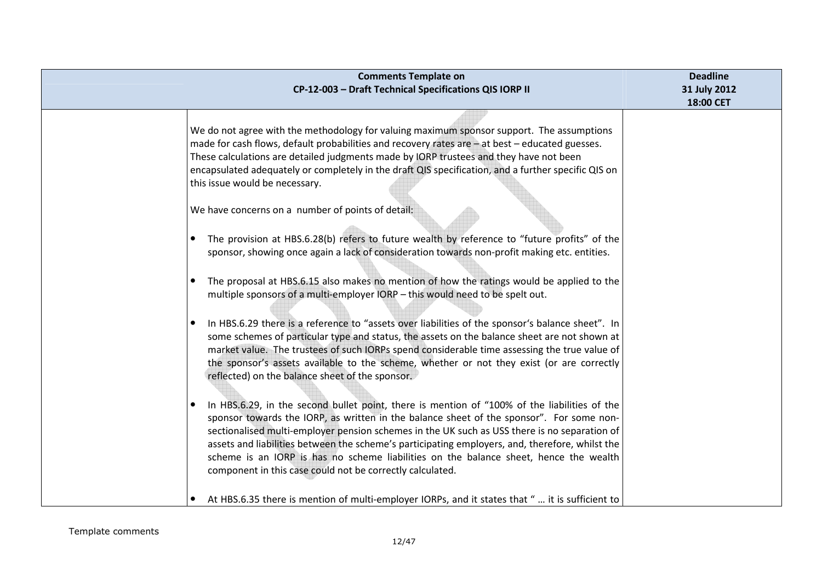| <b>Comments Template on</b><br>CP-12-003 - Draft Technical Specifications QIS IORP II                                                                                                                                                                                                                                                                                                                                                                                                                                                                                                                                                                                                                                                                                                                                                                                                                                                                                                                                                                                                                                                                                                                                                                                                                      | <b>Deadline</b><br>31 July 2012<br>18:00 CET |
|------------------------------------------------------------------------------------------------------------------------------------------------------------------------------------------------------------------------------------------------------------------------------------------------------------------------------------------------------------------------------------------------------------------------------------------------------------------------------------------------------------------------------------------------------------------------------------------------------------------------------------------------------------------------------------------------------------------------------------------------------------------------------------------------------------------------------------------------------------------------------------------------------------------------------------------------------------------------------------------------------------------------------------------------------------------------------------------------------------------------------------------------------------------------------------------------------------------------------------------------------------------------------------------------------------|----------------------------------------------|
| We do not agree with the methodology for valuing maximum sponsor support. The assumptions<br>made for cash flows, default probabilities and recovery rates are – at best – educated guesses.<br>These calculations are detailed judgments made by IORP trustees and they have not been<br>encapsulated adequately or completely in the draft QIS specification, and a further specific QIS on<br>this issue would be necessary.<br>We have concerns on a number of points of detail:<br>The provision at HBS.6.28(b) refers to future wealth by reference to "future profits" of the<br>$\bullet$<br>sponsor, showing once again a lack of consideration towards non-profit making etc. entities.<br>The proposal at HBS.6.15 also makes no mention of how the ratings would be applied to the<br>$\bullet$<br>multiple sponsors of a multi-employer IORP - this would need to be spelt out.<br>In HBS.6.29 there is a reference to "assets over liabilities of the sponsor's balance sheet". In<br>$\bullet$<br>some schemes of particular type and status, the assets on the balance sheet are not shown at<br>market value. The trustees of such IORPs spend considerable time assessing the true value of<br>the sponsor's assets available to the scheme, whether or not they exist (or are correctly |                                              |
| reflected) on the balance sheet of the sponsor.<br>In HBS.6.29, in the second bullet point, there is mention of "100% of the liabilities of the<br>sponsor towards the IORP, as written in the balance sheet of the sponsor". For some non-<br>sectionalised multi-employer pension schemes in the UK such as USS there is no separation of<br>assets and liabilities between the scheme's participating employers, and, therefore, whilst the<br>scheme is an IORP is has no scheme liabilities on the balance sheet, hence the wealth<br>component in this case could not be correctly calculated.<br>At HBS.6.35 there is mention of multi-employer IORPs, and it states that "  it is sufficient to                                                                                                                                                                                                                                                                                                                                                                                                                                                                                                                                                                                                    |                                              |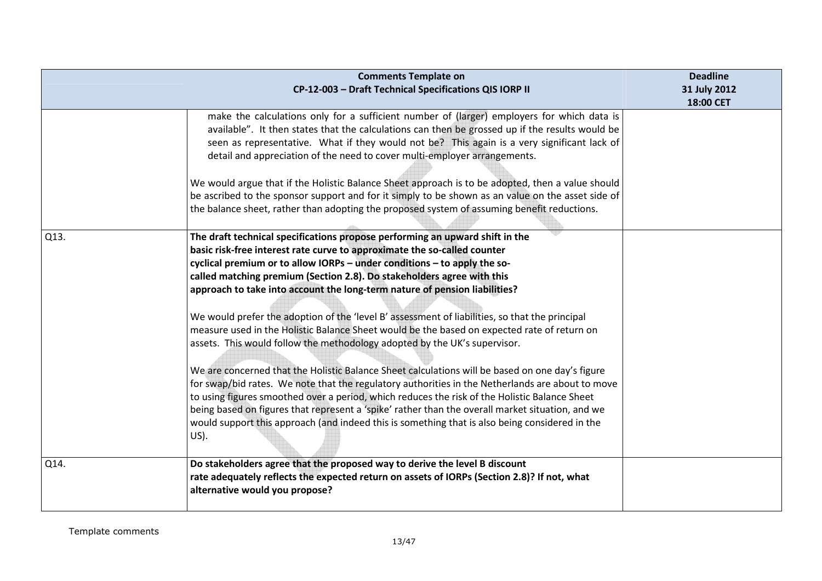|      | <b>Comments Template on</b><br>CP-12-003 - Draft Technical Specifications QIS IORP II                                                                                                                                                                                                                                                                                                                                                                                                                                                                                                                                                                                                                                                                                                                                                                                                                                                                                                                                                                                                                                                                                                               | <b>Deadline</b><br>31 July 2012<br>18:00 CET |
|------|-----------------------------------------------------------------------------------------------------------------------------------------------------------------------------------------------------------------------------------------------------------------------------------------------------------------------------------------------------------------------------------------------------------------------------------------------------------------------------------------------------------------------------------------------------------------------------------------------------------------------------------------------------------------------------------------------------------------------------------------------------------------------------------------------------------------------------------------------------------------------------------------------------------------------------------------------------------------------------------------------------------------------------------------------------------------------------------------------------------------------------------------------------------------------------------------------------|----------------------------------------------|
|      | make the calculations only for a sufficient number of (larger) employers for which data is<br>available". It then states that the calculations can then be grossed up if the results would be<br>seen as representative. What if they would not be? This again is a very significant lack of<br>detail and appreciation of the need to cover multi-employer arrangements.<br>We would argue that if the Holistic Balance Sheet approach is to be adopted, then a value should<br>be ascribed to the sponsor support and for it simply to be shown as an value on the asset side of<br>the balance sheet, rather than adopting the proposed system of assuming benefit reductions.                                                                                                                                                                                                                                                                                                                                                                                                                                                                                                                   |                                              |
| Q13. | The draft technical specifications propose performing an upward shift in the<br>basic risk-free interest rate curve to approximate the so-called counter<br>cyclical premium or to allow IORPs - under conditions - to apply the so-<br>called matching premium (Section 2.8). Do stakeholders agree with this<br>approach to take into account the long-term nature of pension liabilities?<br>We would prefer the adoption of the 'level B' assessment of liabilities, so that the principal<br>measure used in the Holistic Balance Sheet would be the based on expected rate of return on<br>assets. This would follow the methodology adopted by the UK's supervisor.<br>We are concerned that the Holistic Balance Sheet calculations will be based on one day's figure<br>for swap/bid rates. We note that the regulatory authorities in the Netherlands are about to move<br>to using figures smoothed over a period, which reduces the risk of the Holistic Balance Sheet<br>being based on figures that represent a 'spike' rather than the overall market situation, and we<br>would support this approach (and indeed this is something that is also being considered in the<br>$US$ ). |                                              |
| Q14. | Do stakeholders agree that the proposed way to derive the level B discount<br>rate adequately reflects the expected return on assets of IORPs (Section 2.8)? If not, what<br>alternative would you propose?                                                                                                                                                                                                                                                                                                                                                                                                                                                                                                                                                                                                                                                                                                                                                                                                                                                                                                                                                                                         |                                              |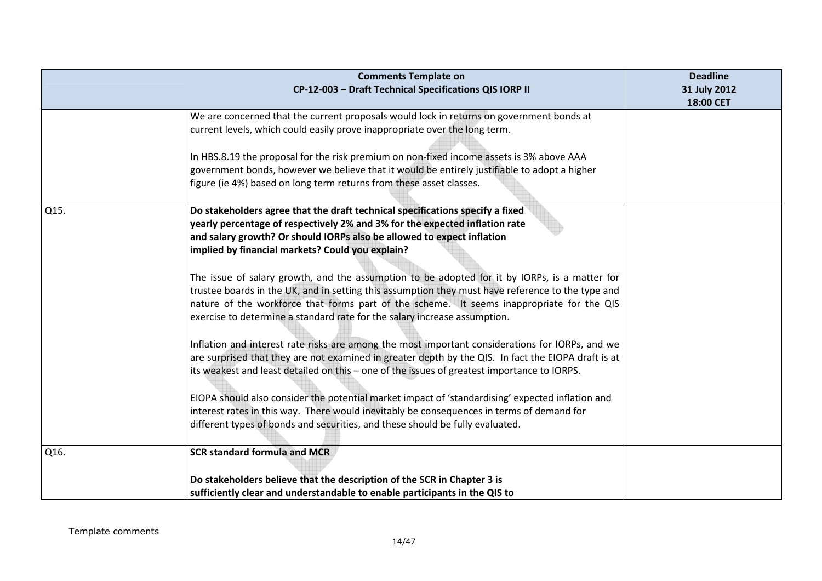|      | <b>Comments Template on</b><br>CP-12-003 - Draft Technical Specifications QIS IORP II                                                                                                                                                                                                                                                                                                                                                                                                                                                                                                                                                                                                                                                                                                                                                                                                                                                                                                                                                                                                                                                                                                | <b>Deadline</b><br>31 July 2012<br>18:00 CET |
|------|--------------------------------------------------------------------------------------------------------------------------------------------------------------------------------------------------------------------------------------------------------------------------------------------------------------------------------------------------------------------------------------------------------------------------------------------------------------------------------------------------------------------------------------------------------------------------------------------------------------------------------------------------------------------------------------------------------------------------------------------------------------------------------------------------------------------------------------------------------------------------------------------------------------------------------------------------------------------------------------------------------------------------------------------------------------------------------------------------------------------------------------------------------------------------------------|----------------------------------------------|
| Q15. | We are concerned that the current proposals would lock in returns on government bonds at<br>current levels, which could easily prove inappropriate over the long term.<br>In HBS.8.19 the proposal for the risk premium on non-fixed income assets is 3% above AAA<br>government bonds, however we believe that it would be entirely justifiable to adopt a higher<br>figure (ie 4%) based on long term returns from these asset classes.<br>Do stakeholders agree that the draft technical specifications specify a fixed                                                                                                                                                                                                                                                                                                                                                                                                                                                                                                                                                                                                                                                           |                                              |
|      | yearly percentage of respectively 2% and 3% for the expected inflation rate<br>and salary growth? Or should IORPs also be allowed to expect inflation<br>implied by financial markets? Could you explain?<br>The issue of salary growth, and the assumption to be adopted for it by IORPs, is a matter for<br>trustee boards in the UK, and in setting this assumption they must have reference to the type and<br>nature of the workforce that forms part of the scheme. It seems inappropriate for the QIS<br>exercise to determine a standard rate for the salary increase assumption.<br>Inflation and interest rate risks are among the most important considerations for IORPs, and we<br>are surprised that they are not examined in greater depth by the QIS. In fact the EIOPA draft is at<br>its weakest and least detailed on this - one of the issues of greatest importance to IORPS.<br>EIOPA should also consider the potential market impact of 'standardising' expected inflation and<br>interest rates in this way. There would inevitably be consequences in terms of demand for<br>different types of bonds and securities, and these should be fully evaluated. |                                              |
| Q16. | <b>SCR standard formula and MCR</b>                                                                                                                                                                                                                                                                                                                                                                                                                                                                                                                                                                                                                                                                                                                                                                                                                                                                                                                                                                                                                                                                                                                                                  |                                              |
|      | Do stakeholders believe that the description of the SCR in Chapter 3 is<br>sufficiently clear and understandable to enable participants in the QIS to                                                                                                                                                                                                                                                                                                                                                                                                                                                                                                                                                                                                                                                                                                                                                                                                                                                                                                                                                                                                                                |                                              |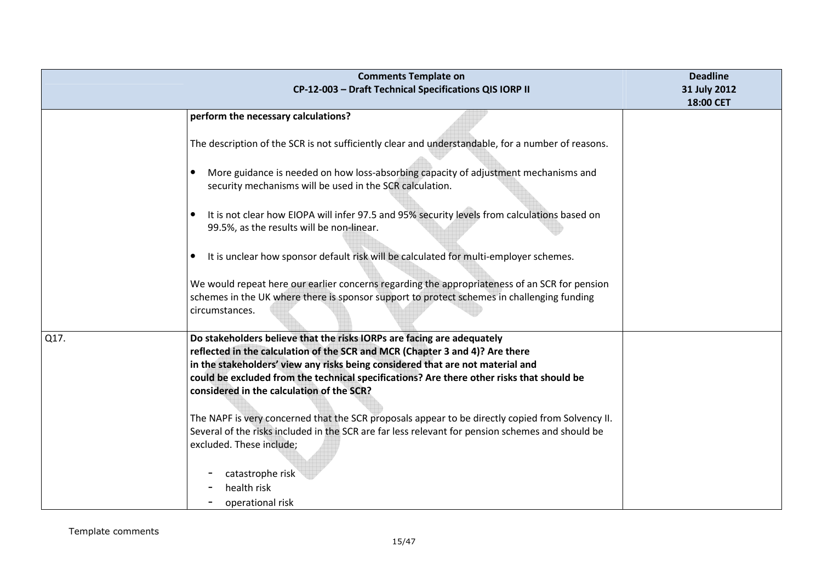|      | <b>Comments Template on</b><br>CP-12-003 - Draft Technical Specifications QIS IORP II                                                                                                                | <b>Deadline</b><br>31 July 2012<br>18:00 CET |
|------|------------------------------------------------------------------------------------------------------------------------------------------------------------------------------------------------------|----------------------------------------------|
|      | perform the necessary calculations?                                                                                                                                                                  |                                              |
|      |                                                                                                                                                                                                      |                                              |
|      | The description of the SCR is not sufficiently clear and understandable, for a number of reasons.                                                                                                    |                                              |
|      |                                                                                                                                                                                                      |                                              |
|      | More guidance is needed on how loss-absorbing capacity of adjustment mechanisms and<br>security mechanisms will be used in the SCR calculation.                                                      |                                              |
|      |                                                                                                                                                                                                      |                                              |
|      | It is not clear how EIOPA will infer 97.5 and 95% security levels from calculations based on<br>99.5%, as the results will be non-linear.                                                            |                                              |
|      | It is unclear how sponsor default risk will be calculated for multi-employer schemes.                                                                                                                |                                              |
|      |                                                                                                                                                                                                      |                                              |
|      | We would repeat here our earlier concerns regarding the appropriateness of an SCR for pension<br>schemes in the UK where there is sponsor support to protect schemes in challenging funding          |                                              |
|      | circumstances.                                                                                                                                                                                       |                                              |
|      |                                                                                                                                                                                                      |                                              |
| Q17. | Do stakeholders believe that the risks IORPs are facing are adequately                                                                                                                               |                                              |
|      | reflected in the calculation of the SCR and MCR (Chapter 3 and 4)? Are there<br>in the stakeholders' view any risks being considered that are not material and                                       |                                              |
|      | could be excluded from the technical specifications? Are there other risks that should be                                                                                                            |                                              |
|      | considered in the calculation of the SCR?                                                                                                                                                            |                                              |
|      |                                                                                                                                                                                                      |                                              |
|      | The NAPF is very concerned that the SCR proposals appear to be directly copied from Solvency II.<br>Several of the risks included in the SCR are far less relevant for pension schemes and should be |                                              |
|      | excluded. These include;                                                                                                                                                                             |                                              |
|      |                                                                                                                                                                                                      |                                              |
|      | catastrophe risk                                                                                                                                                                                     |                                              |
|      | health risk                                                                                                                                                                                          |                                              |
|      | operational risk                                                                                                                                                                                     |                                              |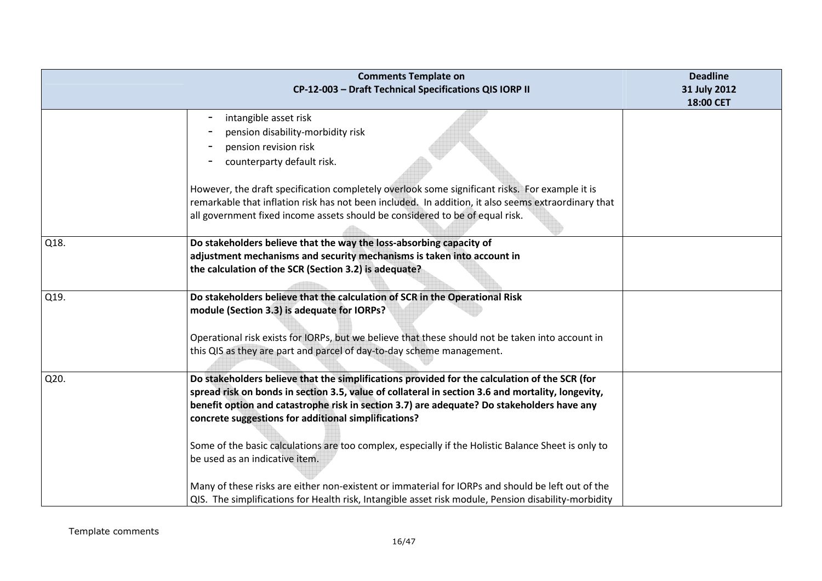|      | <b>Comments Template on</b><br>CP-12-003 - Draft Technical Specifications QIS IORP II                | <b>Deadline</b><br>31 July 2012 |
|------|------------------------------------------------------------------------------------------------------|---------------------------------|
|      |                                                                                                      | 18:00 CET                       |
|      | intangible asset risk                                                                                |                                 |
|      | pension disability-morbidity risk                                                                    |                                 |
|      | pension revision risk                                                                                |                                 |
|      | counterparty default risk.                                                                           |                                 |
|      | However, the draft specification completely overlook some significant risks. For example it is       |                                 |
|      | remarkable that inflation risk has not been included. In addition, it also seems extraordinary that  |                                 |
|      | all government fixed income assets should be considered to be of equal risk.                         |                                 |
| Q18. | Do stakeholders believe that the way the loss-absorbing capacity of                                  |                                 |
|      | adjustment mechanisms and security mechanisms is taken into account in                               |                                 |
|      | the calculation of the SCR (Section 3.2) is adequate?                                                |                                 |
| Q19. | Do stakeholders believe that the calculation of SCR in the Operational Risk                          |                                 |
|      | module (Section 3.3) is adequate for IORPs?                                                          |                                 |
|      | Operational risk exists for IORPs, but we believe that these should not be taken into account in     |                                 |
|      | this QIS as they are part and parcel of day-to-day scheme management.                                |                                 |
|      |                                                                                                      |                                 |
| Q20. | Do stakeholders believe that the simplifications provided for the calculation of the SCR (for        |                                 |
|      | spread risk on bonds in section 3.5, value of collateral in section 3.6 and mortality, longevity,    |                                 |
|      | benefit option and catastrophe risk in section 3.7) are adequate? Do stakeholders have any           |                                 |
|      | concrete suggestions for additional simplifications?                                                 |                                 |
|      | Some of the basic calculations are too complex, especially if the Holistic Balance Sheet is only to  |                                 |
|      | be used as an indicative item.                                                                       |                                 |
|      | Many of these risks are either non-existent or immaterial for IORPs and should be left out of the    |                                 |
|      | QIS. The simplifications for Health risk, Intangible asset risk module, Pension disability-morbidity |                                 |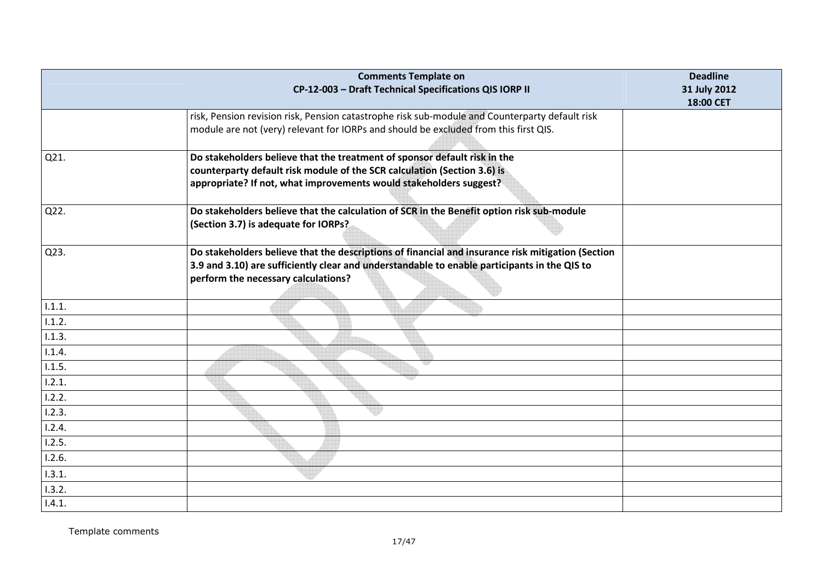|        | <b>Comments Template on</b><br>CP-12-003 - Draft Technical Specifications QIS IORP II                                                                                                                                                    | <b>Deadline</b><br>31 July 2012<br>18:00 CET |
|--------|------------------------------------------------------------------------------------------------------------------------------------------------------------------------------------------------------------------------------------------|----------------------------------------------|
|        | risk, Pension revision risk, Pension catastrophe risk sub-module and Counterparty default risk<br>module are not (very) relevant for IORPs and should be excluded from this first QIS.                                                   |                                              |
| Q21.   | Do stakeholders believe that the treatment of sponsor default risk in the<br>counterparty default risk module of the SCR calculation (Section 3.6) is<br>appropriate? If not, what improvements would stakeholders suggest?              |                                              |
| Q22.   | Do stakeholders believe that the calculation of SCR in the Benefit option risk sub-module<br>(Section 3.7) is adequate for IORPs?                                                                                                        |                                              |
| Q23.   | Do stakeholders believe that the descriptions of financial and insurance risk mitigation (Section<br>3.9 and 3.10) are sufficiently clear and understandable to enable participants in the QIS to<br>perform the necessary calculations? |                                              |
| 1.1.1. |                                                                                                                                                                                                                                          |                                              |
| 1.1.2. |                                                                                                                                                                                                                                          |                                              |
| 1.1.3. |                                                                                                                                                                                                                                          |                                              |
| 1.1.4. |                                                                                                                                                                                                                                          |                                              |
| 1.1.5. |                                                                                                                                                                                                                                          |                                              |
| 1.2.1. |                                                                                                                                                                                                                                          |                                              |
| 1.2.2. |                                                                                                                                                                                                                                          |                                              |
| 1.2.3. |                                                                                                                                                                                                                                          |                                              |
| 1.2.4. |                                                                                                                                                                                                                                          |                                              |
| 1.2.5. |                                                                                                                                                                                                                                          |                                              |
| 1.2.6. |                                                                                                                                                                                                                                          |                                              |
| 1.3.1. |                                                                                                                                                                                                                                          |                                              |
| 1.3.2. |                                                                                                                                                                                                                                          |                                              |
| 1.4.1. |                                                                                                                                                                                                                                          |                                              |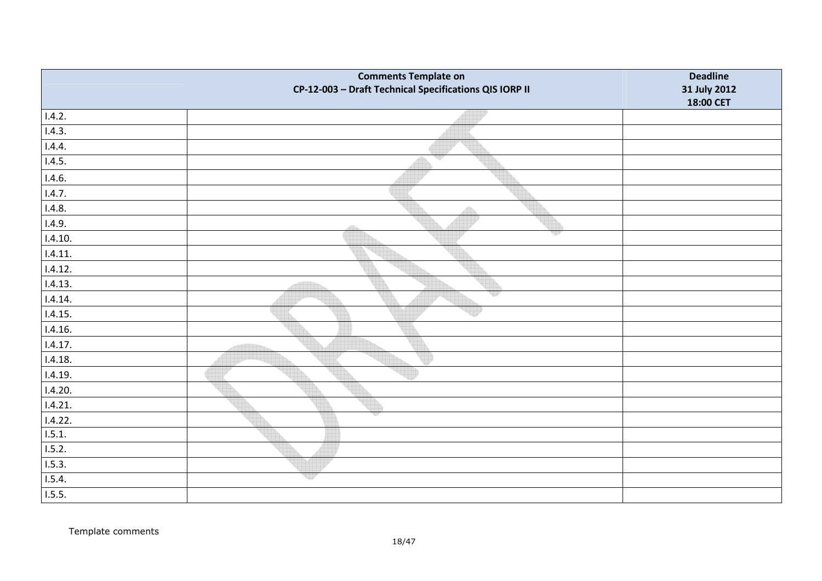|         | <b>Comments Template on</b><br>CP-12-003 - Draft Technical Specifications QIS IORP II | <b>Deadline</b><br>31 July 2012 |
|---------|---------------------------------------------------------------------------------------|---------------------------------|
|         |                                                                                       | 18:00 CET                       |
| 1.4.2.  |                                                                                       |                                 |
| 1.4.3.  |                                                                                       |                                 |
| 1.4.4.  |                                                                                       |                                 |
| 1.4.5.  | v                                                                                     |                                 |
| 1.4.6.  |                                                                                       |                                 |
| 1.4.7.  |                                                                                       |                                 |
| 1.4.8.  | $\triangle$                                                                           |                                 |
| 1.4.9.  |                                                                                       |                                 |
| 1.4.10. | v                                                                                     |                                 |
| 1.4.11. |                                                                                       |                                 |
| 1.4.12. |                                                                                       |                                 |
| 1.4.13. |                                                                                       |                                 |
| 1.4.14. | 49                                                                                    |                                 |
| 1.4.15. |                                                                                       |                                 |
| 1.4.16. |                                                                                       |                                 |
| 1.4.17. |                                                                                       |                                 |
| 1.4.18. |                                                                                       |                                 |
| 1.4.19. |                                                                                       |                                 |
| 1.4.20. |                                                                                       |                                 |
| 1.4.21. |                                                                                       |                                 |
| 1.4.22. |                                                                                       |                                 |
| 1.5.1   |                                                                                       |                                 |
| 1.5.2.  |                                                                                       |                                 |
| 1.5.3.  |                                                                                       |                                 |
| 1.5.4.  | up                                                                                    |                                 |
| 1.5.5.  |                                                                                       |                                 |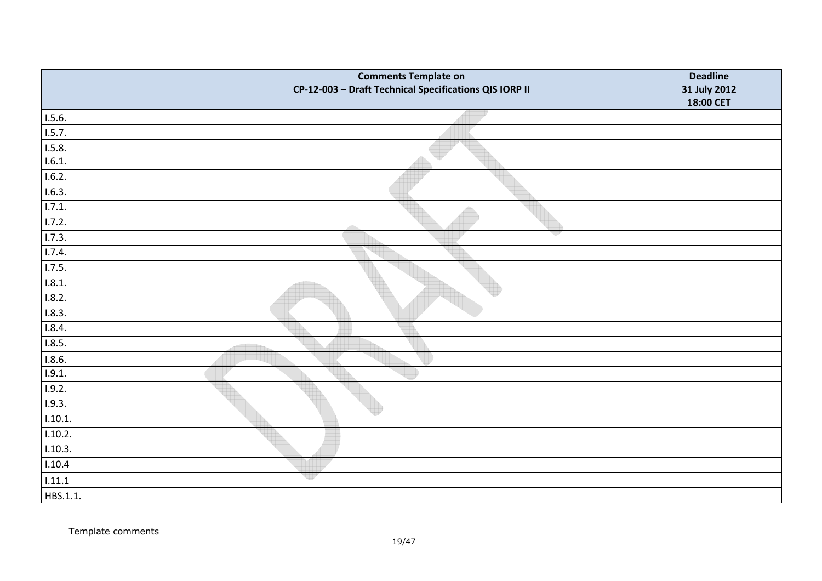|          | <b>Comments Template on</b><br>CP-12-003 - Draft Technical Specifications QIS IORP II | <b>Deadline</b><br>31 July 2012 |
|----------|---------------------------------------------------------------------------------------|---------------------------------|
|          |                                                                                       | 18:00 CET                       |
| 1.5.6.   |                                                                                       |                                 |
| 1.5.7.   |                                                                                       |                                 |
| 1.5.8.   |                                                                                       |                                 |
| 1.6.1.   | v                                                                                     |                                 |
| 1.6.2.   |                                                                                       |                                 |
| 1.6.3.   |                                                                                       |                                 |
| 1.7.1.   | Æ                                                                                     |                                 |
| 1.7.2.   |                                                                                       |                                 |
| 1.7.3.   | v                                                                                     |                                 |
| 1.7.4.   |                                                                                       |                                 |
| 1.7.5.   |                                                                                       |                                 |
| 1.8.1.   |                                                                                       |                                 |
| 1.8.2.   | 백원                                                                                    |                                 |
| 1.8.3.   |                                                                                       |                                 |
| 1.8.4.   |                                                                                       |                                 |
| 1.8.5.   |                                                                                       |                                 |
| 1.8.6.   |                                                                                       |                                 |
| 1.9.1.   |                                                                                       |                                 |
| 1.9.2.   |                                                                                       |                                 |
| 1.9.3.   |                                                                                       |                                 |
| 1.10.1.  |                                                                                       |                                 |
| 1.10.2.  |                                                                                       |                                 |
| 1.10.3.  |                                                                                       |                                 |
| 1.10.4   |                                                                                       |                                 |
| 1.11.1   | up                                                                                    |                                 |
| HBS.1.1. |                                                                                       |                                 |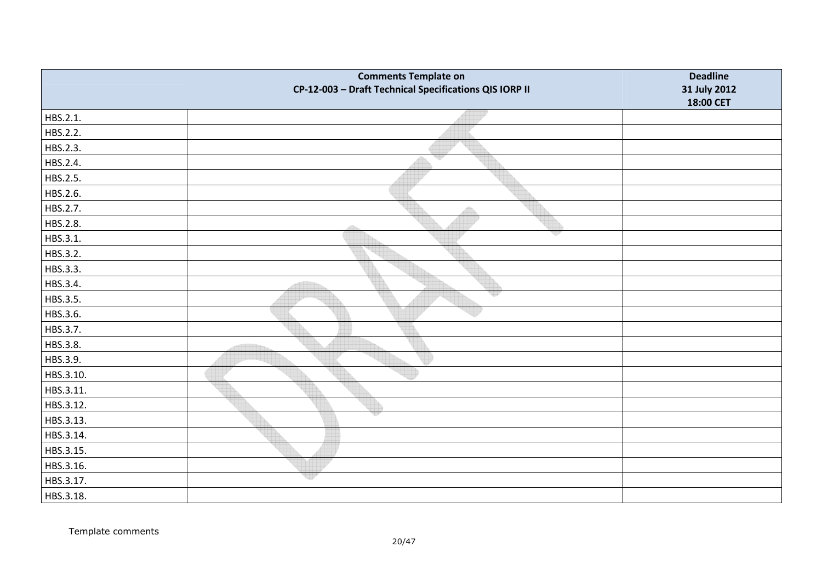|           | <b>Comments Template on</b><br>CP-12-003 - Draft Technical Specifications QIS IORP II | <b>Deadline</b><br>31 July 2012<br>18:00 CET |
|-----------|---------------------------------------------------------------------------------------|----------------------------------------------|
| HBS.2.1.  |                                                                                       |                                              |
| HBS.2.2.  |                                                                                       |                                              |
| HBS.2.3.  |                                                                                       |                                              |
| HBS.2.4.  | w                                                                                     |                                              |
| HBS.2.5.  |                                                                                       |                                              |
| HBS.2.6.  |                                                                                       |                                              |
| HBS.2.7.  | Â                                                                                     |                                              |
| HBS.2.8.  | dh                                                                                    |                                              |
| HBS.3.1.  | 93                                                                                    |                                              |
| HBS.3.2.  |                                                                                       |                                              |
| HBS.3.3.  |                                                                                       |                                              |
| HBS.3.4.  |                                                                                       |                                              |
| HBS.3.5.  |                                                                                       |                                              |
| HBS.3.6.  |                                                                                       |                                              |
| HBS.3.7.  |                                                                                       |                                              |
| HBS.3.8.  |                                                                                       |                                              |
| HBS.3.9.  |                                                                                       |                                              |
| HBS.3.10. |                                                                                       |                                              |
| HBS.3.11. |                                                                                       |                                              |
| HBS.3.12. |                                                                                       |                                              |
| HBS.3.13. |                                                                                       |                                              |
| HBS.3.14. |                                                                                       |                                              |
| HBS.3.15. |                                                                                       |                                              |
| HBS.3.16. |                                                                                       |                                              |
| HBS.3.17. | up                                                                                    |                                              |
| HBS.3.18. |                                                                                       |                                              |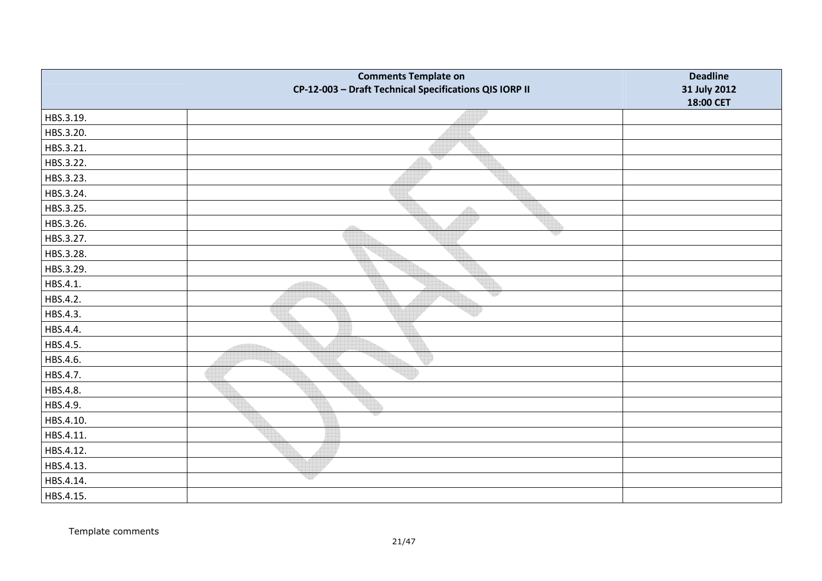|           | <b>Comments Template on</b><br>CP-12-003 - Draft Technical Specifications QIS IORP II | <b>Deadline</b><br>31 July 2012<br>18:00 CET |
|-----------|---------------------------------------------------------------------------------------|----------------------------------------------|
| HBS.3.19. |                                                                                       |                                              |
| HBS.3.20. |                                                                                       |                                              |
| HBS.3.21. |                                                                                       |                                              |
| HBS.3.22. | qy                                                                                    |                                              |
| HBS.3.23. |                                                                                       |                                              |
| HBS.3.24. |                                                                                       |                                              |
| HBS.3.25. | $\bigoplus$                                                                           |                                              |
| HBS.3.26. | 46                                                                                    |                                              |
| HBS.3.27. | w                                                                                     |                                              |
| HBS.3.28. |                                                                                       |                                              |
| HBS.3.29. |                                                                                       |                                              |
| HBS.4.1.  |                                                                                       |                                              |
| HBS.4.2.  |                                                                                       |                                              |
| HBS.4.3.  |                                                                                       |                                              |
| HBS.4.4.  |                                                                                       |                                              |
| HBS.4.5.  |                                                                                       |                                              |
| HBS.4.6.  |                                                                                       |                                              |
| HBS.4.7.  |                                                                                       |                                              |
| HBS.4.8.  |                                                                                       |                                              |
| HBS.4.9.  |                                                                                       |                                              |
| HBS.4.10. |                                                                                       |                                              |
| HBS.4.11. |                                                                                       |                                              |
| HBS.4.12. |                                                                                       |                                              |
| HBS.4.13. |                                                                                       |                                              |
| HBS.4.14. | up                                                                                    |                                              |
| HBS.4.15. |                                                                                       |                                              |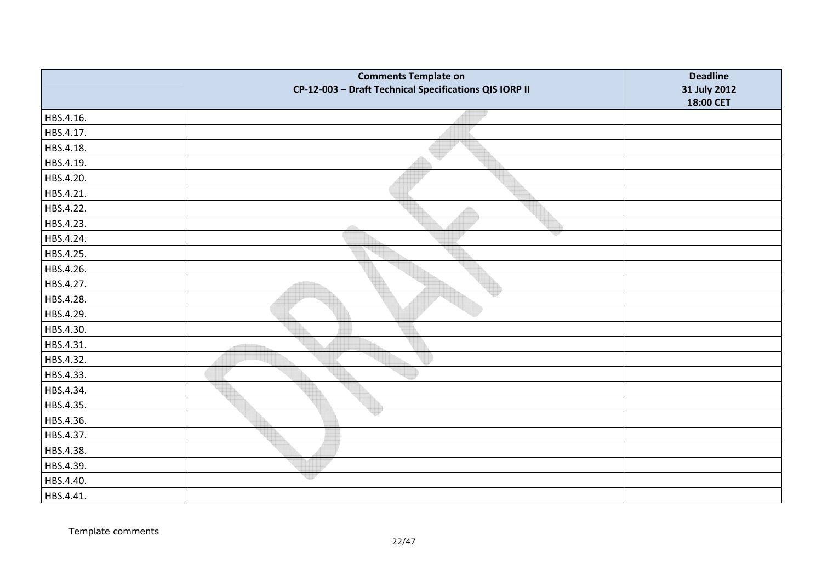|           | <b>Comments Template on</b><br>CP-12-003 - Draft Technical Specifications QIS IORP II | <b>Deadline</b><br>31 July 2012<br>18:00 CET |
|-----------|---------------------------------------------------------------------------------------|----------------------------------------------|
| HBS.4.16. |                                                                                       |                                              |
| HBS.4.17. |                                                                                       |                                              |
| HBS.4.18. |                                                                                       |                                              |
| HBS.4.19. | v                                                                                     |                                              |
| HBS.4.20. |                                                                                       |                                              |
| HBS.4.21. |                                                                                       |                                              |
| HBS.4.22. |                                                                                       |                                              |
| HBS.4.23. | 4535                                                                                  |                                              |
| HBS.4.24. |                                                                                       |                                              |
| HBS.4.25. |                                                                                       |                                              |
| HBS.4.26. |                                                                                       |                                              |
| HBS.4.27. |                                                                                       |                                              |
| HBS.4.28. |                                                                                       |                                              |
| HBS.4.29. |                                                                                       |                                              |
| HBS.4.30. |                                                                                       |                                              |
| HBS.4.31. |                                                                                       |                                              |
| HBS.4.32. |                                                                                       |                                              |
| HBS.4.33. |                                                                                       |                                              |
| HBS.4.34. |                                                                                       |                                              |
| HBS.4.35. |                                                                                       |                                              |
| HBS.4.36. |                                                                                       |                                              |
| HBS.4.37. |                                                                                       |                                              |
| HBS.4.38. |                                                                                       |                                              |
| HBS.4.39. |                                                                                       |                                              |
| HBS.4.40. | 제가                                                                                    |                                              |
| HBS.4.41. |                                                                                       |                                              |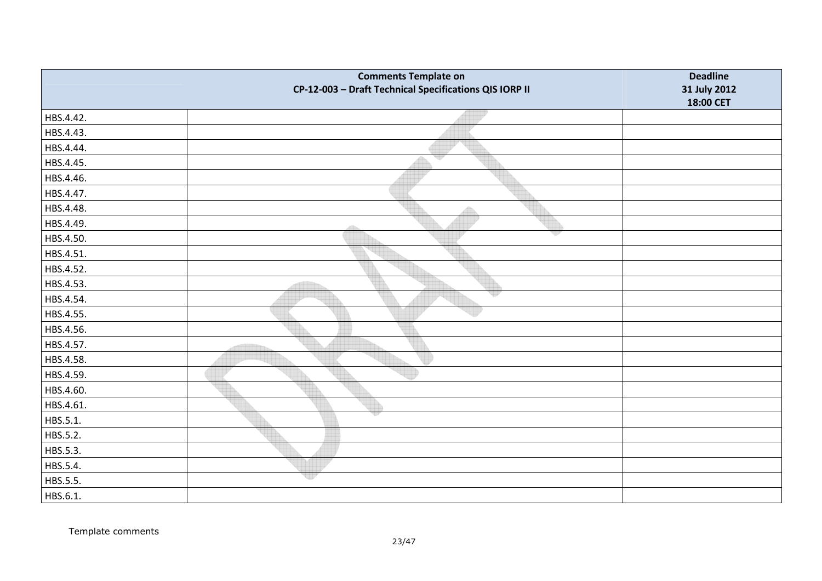|           | <b>Comments Template on</b><br>CP-12-003 - Draft Technical Specifications QIS IORP II | <b>Deadline</b><br>31 July 2012<br>18:00 CET |
|-----------|---------------------------------------------------------------------------------------|----------------------------------------------|
| HBS.4.42. |                                                                                       |                                              |
| HBS.4.43. |                                                                                       |                                              |
| HBS.4.44. |                                                                                       |                                              |
| HBS.4.45. | v                                                                                     |                                              |
| HBS.4.46. |                                                                                       |                                              |
| HBS.4.47. |                                                                                       |                                              |
| HBS.4.48. |                                                                                       |                                              |
| HBS.4.49. | dh                                                                                    |                                              |
| HBS.4.50. |                                                                                       |                                              |
| HBS.4.51. |                                                                                       |                                              |
| HBS.4.52. |                                                                                       |                                              |
| HBS.4.53. |                                                                                       |                                              |
| HBS.4.54. |                                                                                       |                                              |
| HBS.4.55. |                                                                                       |                                              |
| HBS.4.56. |                                                                                       |                                              |
| HBS.4.57. |                                                                                       |                                              |
| HBS.4.58. |                                                                                       |                                              |
| HBS.4.59. |                                                                                       |                                              |
| HBS.4.60. |                                                                                       |                                              |
| HBS.4.61. |                                                                                       |                                              |
| HBS.5.1.  |                                                                                       |                                              |
| HBS.5.2.  |                                                                                       |                                              |
| HBS.5.3.  |                                                                                       |                                              |
| HBS.5.4.  |                                                                                       |                                              |
| HBS.5.5.  | up                                                                                    |                                              |
| HBS.6.1.  |                                                                                       |                                              |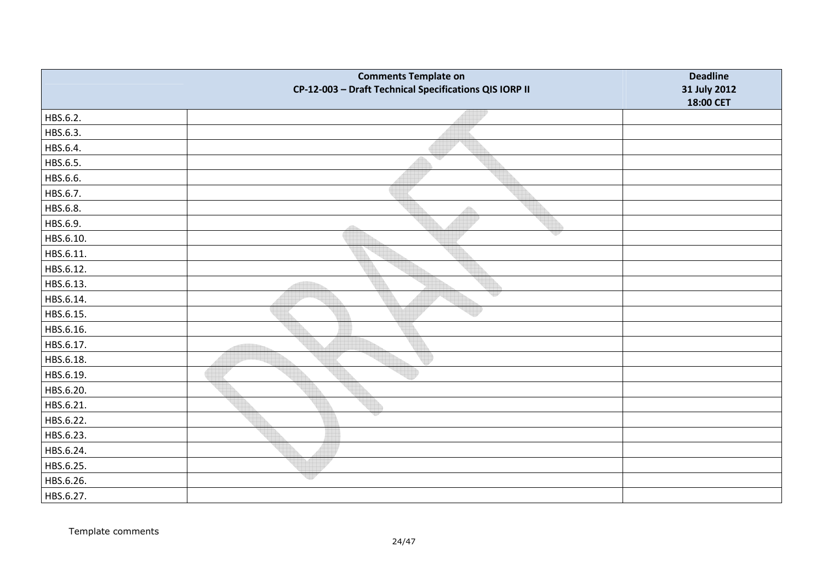|           | <b>Comments Template on</b><br>CP-12-003 - Draft Technical Specifications QIS IORP II | <b>Deadline</b><br>31 July 2012<br>18:00 CET |
|-----------|---------------------------------------------------------------------------------------|----------------------------------------------|
| HBS.6.2.  |                                                                                       |                                              |
| HBS.6.3.  |                                                                                       |                                              |
| HBS.6.4.  |                                                                                       |                                              |
| HBS.6.5.  | U)                                                                                    |                                              |
| HBS.6.6.  |                                                                                       |                                              |
| HBS.6.7.  |                                                                                       |                                              |
| HBS.6.8.  |                                                                                       |                                              |
| HBS.6.9.  | dillo                                                                                 |                                              |
| HBS.6.10. |                                                                                       |                                              |
| HBS.6.11. |                                                                                       |                                              |
| HBS.6.12. |                                                                                       |                                              |
| HBS.6.13. |                                                                                       |                                              |
| HBS.6.14. |                                                                                       |                                              |
| HBS.6.15. |                                                                                       |                                              |
| HBS.6.16. |                                                                                       |                                              |
| HBS.6.17. |                                                                                       |                                              |
| HBS.6.18. |                                                                                       |                                              |
| HBS.6.19. |                                                                                       |                                              |
| HBS.6.20. |                                                                                       |                                              |
| HBS.6.21. |                                                                                       |                                              |
| HBS.6.22. |                                                                                       |                                              |
| HBS.6.23. |                                                                                       |                                              |
| HBS.6.24. |                                                                                       |                                              |
| HBS.6.25. |                                                                                       |                                              |
| HBS.6.26. | eer                                                                                   |                                              |
| HBS.6.27. |                                                                                       |                                              |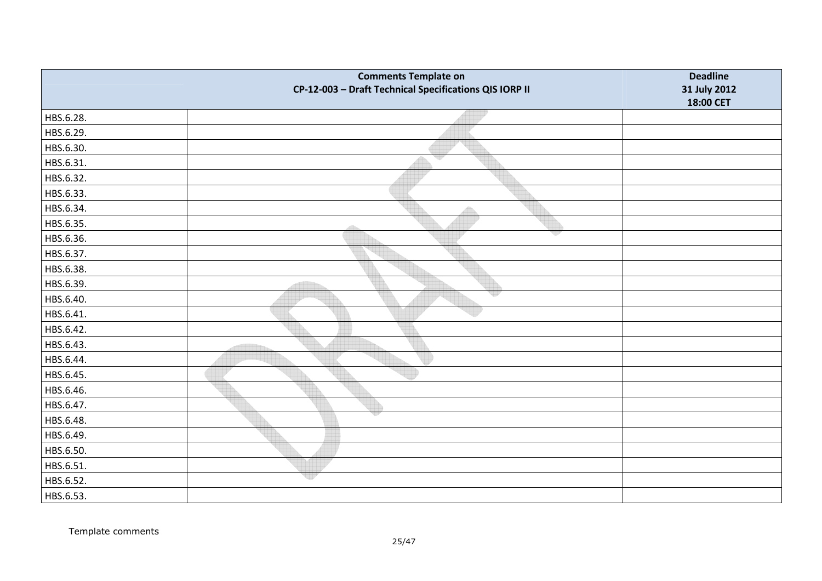|           | <b>Comments Template on</b><br>CP-12-003 - Draft Technical Specifications QIS IORP II | <b>Deadline</b><br>31 July 2012 |
|-----------|---------------------------------------------------------------------------------------|---------------------------------|
|           |                                                                                       | 18:00 CET                       |
| HBS.6.28. |                                                                                       |                                 |
| HBS.6.29. |                                                                                       |                                 |
| HBS.6.30. |                                                                                       |                                 |
| HBS.6.31. | w                                                                                     |                                 |
| HBS.6.32. |                                                                                       |                                 |
| HBS.6.33. |                                                                                       |                                 |
| HBS.6.34. | $\bigoplus$                                                                           |                                 |
| HBS.6.35. |                                                                                       |                                 |
| HBS.6.36. | vp                                                                                    |                                 |
| HBS.6.37. |                                                                                       |                                 |
| HBS.6.38. |                                                                                       |                                 |
| HBS.6.39. |                                                                                       |                                 |
| HBS.6.40. |                                                                                       |                                 |
| HBS.6.41. |                                                                                       |                                 |
| HBS.6.42. |                                                                                       |                                 |
| HBS.6.43. |                                                                                       |                                 |
| HBS.6.44. |                                                                                       |                                 |
| HBS.6.45. |                                                                                       |                                 |
| HBS.6.46. |                                                                                       |                                 |
| HBS.6.47. |                                                                                       |                                 |
| HBS.6.48. |                                                                                       |                                 |
| HBS.6.49. |                                                                                       |                                 |
| HBS.6.50. |                                                                                       |                                 |
| HBS.6.51. |                                                                                       |                                 |
| HBS.6.52. | 비가                                                                                    |                                 |
| HBS.6.53. |                                                                                       |                                 |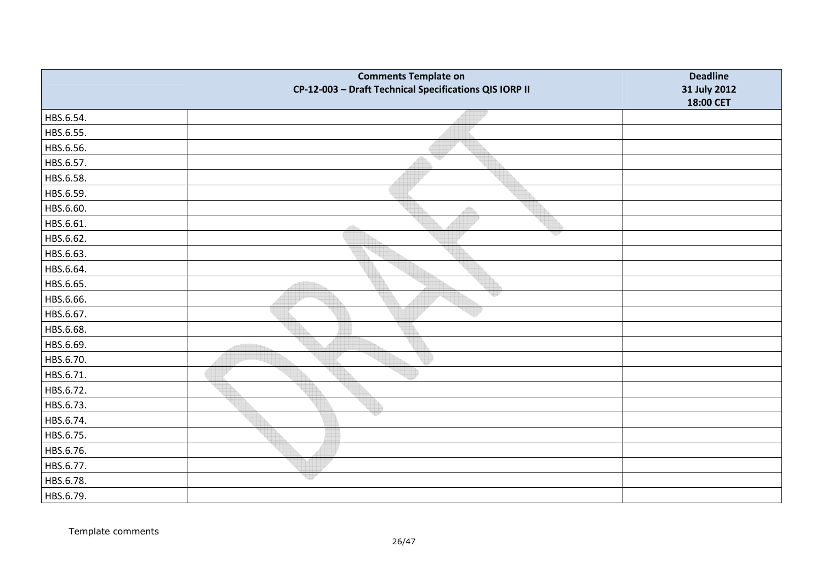|           | <b>Comments Template on</b><br>CP-12-003 - Draft Technical Specifications QIS IORP II | <b>Deadline</b><br>31 July 2012<br>18:00 CET |
|-----------|---------------------------------------------------------------------------------------|----------------------------------------------|
| HBS.6.54. |                                                                                       |                                              |
| HBS.6.55. |                                                                                       |                                              |
| HBS.6.56. |                                                                                       |                                              |
| HBS.6.57. | v                                                                                     |                                              |
| HBS.6.58. |                                                                                       |                                              |
| HBS.6.59. |                                                                                       |                                              |
| HBS.6.60. | Â                                                                                     |                                              |
| HBS.6.61. | dila                                                                                  |                                              |
| HBS.6.62. |                                                                                       |                                              |
| HBS.6.63. |                                                                                       |                                              |
| HBS.6.64. |                                                                                       |                                              |
| HBS.6.65. |                                                                                       |                                              |
| HBS.6.66. |                                                                                       |                                              |
| HBS.6.67. |                                                                                       |                                              |
| HBS.6.68. |                                                                                       |                                              |
| HBS.6.69. |                                                                                       |                                              |
| HBS.6.70. |                                                                                       |                                              |
| HBS.6.71. |                                                                                       |                                              |
| HBS.6.72. |                                                                                       |                                              |
| HBS.6.73. |                                                                                       |                                              |
| HBS.6.74. |                                                                                       |                                              |
| HBS.6.75. |                                                                                       |                                              |
| HBS.6.76. |                                                                                       |                                              |
| HBS.6.77. |                                                                                       |                                              |
| HBS.6.78. | up                                                                                    |                                              |
| HBS.6.79. |                                                                                       |                                              |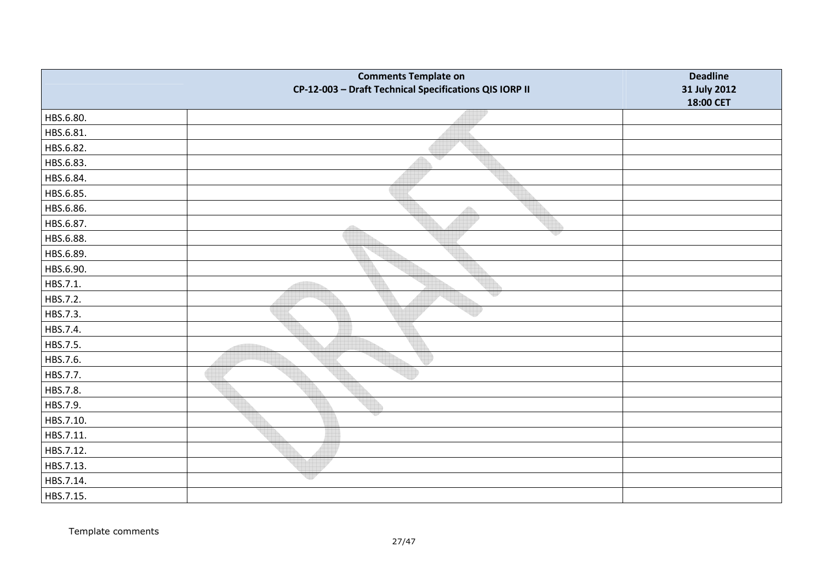|           | <b>Comments Template on</b><br>CP-12-003 - Draft Technical Specifications QIS IORP II | <b>Deadline</b><br>31 July 2012 |
|-----------|---------------------------------------------------------------------------------------|---------------------------------|
|           |                                                                                       | 18:00 CET                       |
| HBS.6.80. |                                                                                       |                                 |
| HBS.6.81. |                                                                                       |                                 |
| HBS.6.82. |                                                                                       |                                 |
| HBS.6.83. | w                                                                                     |                                 |
| HBS.6.84. |                                                                                       |                                 |
| HBS.6.85. |                                                                                       |                                 |
| HBS.6.86. | $\triangle$                                                                           |                                 |
| HBS.6.87. |                                                                                       |                                 |
| HBS.6.88. | v                                                                                     |                                 |
| HBS.6.89. |                                                                                       |                                 |
| HBS.6.90. |                                                                                       |                                 |
| HBS.7.1.  |                                                                                       |                                 |
| HBS.7.2.  | 제공                                                                                    |                                 |
| HBS.7.3.  |                                                                                       |                                 |
| HBS.7.4.  |                                                                                       |                                 |
| HBS.7.5.  |                                                                                       |                                 |
| HBS.7.6.  |                                                                                       |                                 |
| HBS.7.7.  |                                                                                       |                                 |
| HBS.7.8.  |                                                                                       |                                 |
| HBS.7.9.  |                                                                                       |                                 |
| HBS.7.10. |                                                                                       |                                 |
| HBS.7.11. |                                                                                       |                                 |
| HBS.7.12. |                                                                                       |                                 |
| HBS.7.13. |                                                                                       |                                 |
| HBS.7.14. | up                                                                                    |                                 |
| HBS.7.15. |                                                                                       |                                 |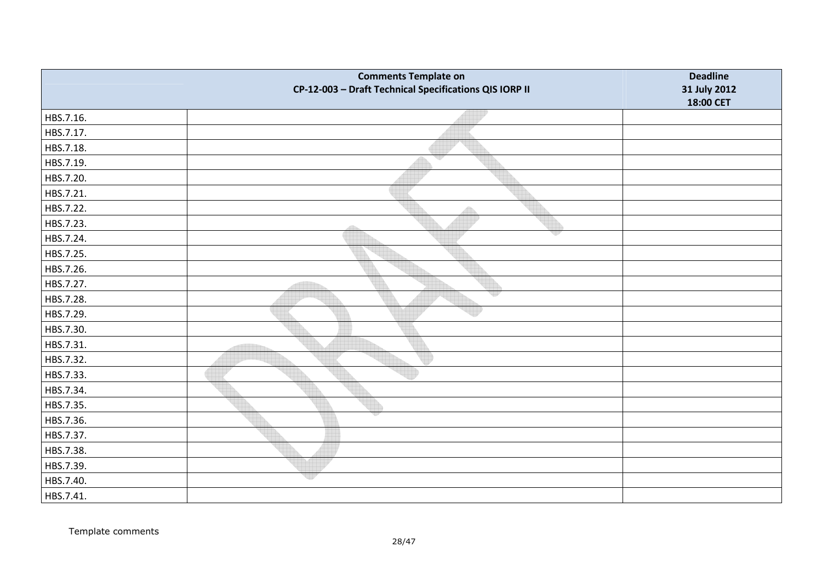|           | <b>Comments Template on</b><br>CP-12-003 - Draft Technical Specifications QIS IORP II | <b>Deadline</b><br>31 July 2012<br>18:00 CET |
|-----------|---------------------------------------------------------------------------------------|----------------------------------------------|
| HBS.7.16. |                                                                                       |                                              |
| HBS.7.17. |                                                                                       |                                              |
| HBS.7.18. |                                                                                       |                                              |
| HBS.7.19. | ₩                                                                                     |                                              |
| HBS.7.20. |                                                                                       |                                              |
| HBS.7.21. |                                                                                       |                                              |
| HBS.7.22. | Â                                                                                     |                                              |
| HBS.7.23. | 436                                                                                   |                                              |
| HBS.7.24. |                                                                                       |                                              |
| HBS.7.25. |                                                                                       |                                              |
| HBS.7.26. |                                                                                       |                                              |
| HBS.7.27. |                                                                                       |                                              |
| HBS.7.28. |                                                                                       |                                              |
| HBS.7.29. |                                                                                       |                                              |
| HBS.7.30. |                                                                                       |                                              |
| HBS.7.31. |                                                                                       |                                              |
| HBS.7.32. |                                                                                       |                                              |
| HBS.7.33. |                                                                                       |                                              |
| HBS.7.34. |                                                                                       |                                              |
| HBS.7.35. |                                                                                       |                                              |
| HBS.7.36. |                                                                                       |                                              |
| HBS.7.37. |                                                                                       |                                              |
| HBS.7.38. |                                                                                       |                                              |
| HBS.7.39. |                                                                                       |                                              |
| HBS.7.40. | ur                                                                                    |                                              |
| HBS.7.41. |                                                                                       |                                              |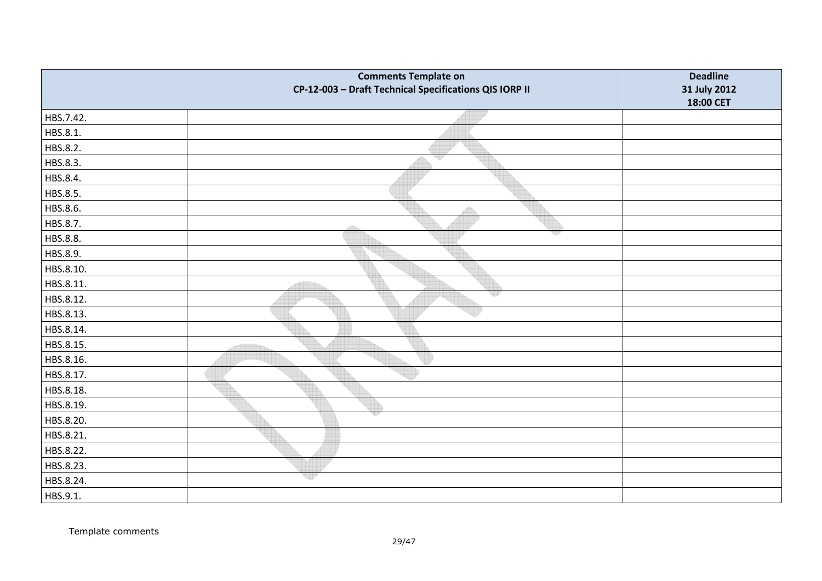|           | <b>Comments Template on</b><br>CP-12-003 - Draft Technical Specifications QIS IORP II | <b>Deadline</b><br>31 July 2012 |
|-----------|---------------------------------------------------------------------------------------|---------------------------------|
|           |                                                                                       | 18:00 CET                       |
| HBS.7.42. |                                                                                       |                                 |
| HBS.8.1.  |                                                                                       |                                 |
| HBS.8.2.  |                                                                                       |                                 |
| HBS.8.3.  | w                                                                                     |                                 |
| HBS.8.4.  |                                                                                       |                                 |
| HBS.8.5.  |                                                                                       |                                 |
| HBS.8.6.  | A                                                                                     |                                 |
| HBS.8.7.  |                                                                                       |                                 |
| HBS.8.8.  | vp                                                                                    |                                 |
| HBS.8.9.  |                                                                                       |                                 |
| HBS.8.10. |                                                                                       |                                 |
| HBS.8.11. |                                                                                       |                                 |
| HBS.8.12. |                                                                                       |                                 |
| HBS.8.13. |                                                                                       |                                 |
| HBS.8.14. |                                                                                       |                                 |
| HBS.8.15. |                                                                                       |                                 |
| HBS.8.16. |                                                                                       |                                 |
| HBS.8.17. |                                                                                       |                                 |
| HBS.8.18. |                                                                                       |                                 |
| HBS.8.19. |                                                                                       |                                 |
| HBS.8.20. |                                                                                       |                                 |
| HBS.8.21. |                                                                                       |                                 |
| HBS.8.22. |                                                                                       |                                 |
| HBS.8.23. |                                                                                       |                                 |
| HBS.8.24. | 매매                                                                                    |                                 |
| HBS.9.1.  |                                                                                       |                                 |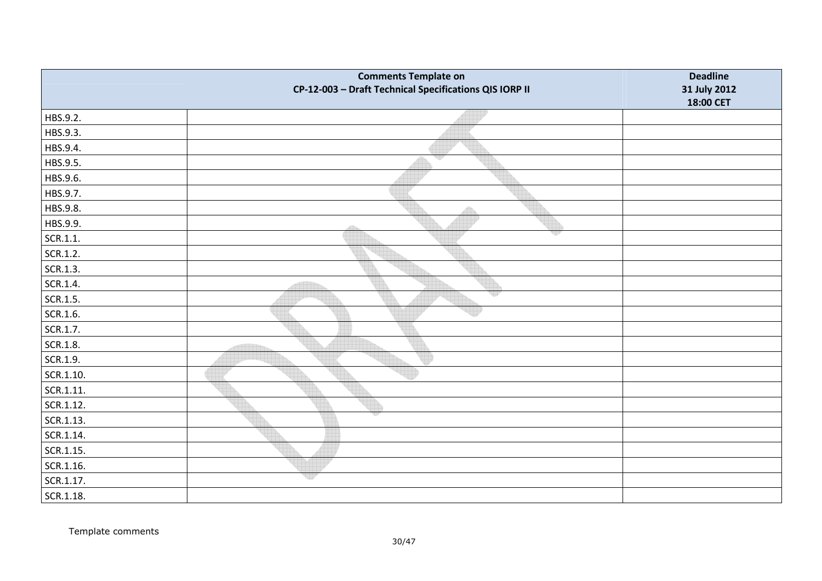|           | <b>Comments Template on</b><br>CP-12-003 - Draft Technical Specifications QIS IORP II | <b>Deadline</b><br>31 July 2012<br>18:00 CET |
|-----------|---------------------------------------------------------------------------------------|----------------------------------------------|
| HBS.9.2.  |                                                                                       |                                              |
| HBS.9.3.  |                                                                                       |                                              |
| HBS.9.4.  |                                                                                       |                                              |
| HBS.9.5.  | qy                                                                                    |                                              |
| HBS.9.6.  |                                                                                       |                                              |
| HBS.9.7.  |                                                                                       |                                              |
| HBS.9.8.  | $\bigoplus$                                                                           |                                              |
| HBS.9.9.  | 46                                                                                    |                                              |
| SCR.1.1.  | w                                                                                     |                                              |
| SCR.1.2.  |                                                                                       |                                              |
| SCR.1.3.  |                                                                                       |                                              |
| SCR.1.4.  |                                                                                       |                                              |
| SCR.1.5.  |                                                                                       |                                              |
| SCR.1.6.  |                                                                                       |                                              |
| SCR.1.7.  |                                                                                       |                                              |
| SCR.1.8.  |                                                                                       |                                              |
| SCR.1.9.  |                                                                                       |                                              |
| SCR.1.10. |                                                                                       |                                              |
| SCR.1.11. |                                                                                       |                                              |
| SCR.1.12. |                                                                                       |                                              |
| SCR.1.13. |                                                                                       |                                              |
| SCR.1.14. |                                                                                       |                                              |
| SCR.1.15. |                                                                                       |                                              |
| SCR.1.16. |                                                                                       |                                              |
| SCR.1.17. | up                                                                                    |                                              |
| SCR.1.18. |                                                                                       |                                              |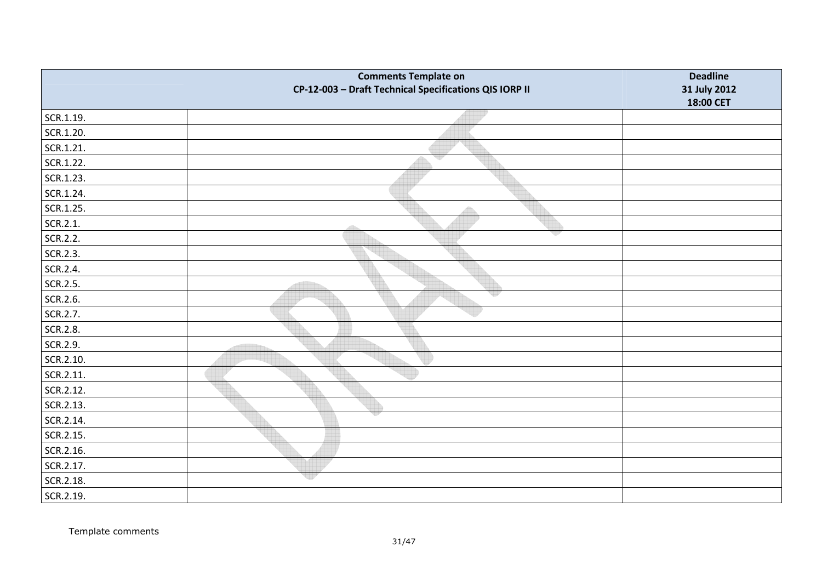|           | <b>Comments Template on</b><br>CP-12-003 - Draft Technical Specifications QIS IORP II | <b>Deadline</b><br>31 July 2012<br>18:00 CET |
|-----------|---------------------------------------------------------------------------------------|----------------------------------------------|
| SCR.1.19. |                                                                                       |                                              |
| SCR.1.20. |                                                                                       |                                              |
| SCR.1.21. |                                                                                       |                                              |
| SCR.1.22. | v                                                                                     |                                              |
| SCR.1.23. |                                                                                       |                                              |
| SCR.1.24. |                                                                                       |                                              |
| SCR.1.25. | $\bigoplus$                                                                           |                                              |
| SCR.2.1.  | 4535                                                                                  |                                              |
| SCR.2.2.  |                                                                                       |                                              |
| SCR.2.3.  |                                                                                       |                                              |
| SCR.2.4.  |                                                                                       |                                              |
| SCR.2.5.  |                                                                                       |                                              |
| SCR.2.6.  |                                                                                       |                                              |
| SCR.2.7.  |                                                                                       |                                              |
| SCR.2.8.  |                                                                                       |                                              |
| SCR.2.9.  |                                                                                       |                                              |
| SCR.2.10. |                                                                                       |                                              |
| SCR.2.11. |                                                                                       |                                              |
| SCR.2.12. |                                                                                       |                                              |
| SCR.2.13. |                                                                                       |                                              |
| SCR.2.14. |                                                                                       |                                              |
| SCR.2.15. |                                                                                       |                                              |
| SCR.2.16. |                                                                                       |                                              |
| SCR.2.17. |                                                                                       |                                              |
| SCR.2.18. | ur                                                                                    |                                              |
| SCR.2.19. |                                                                                       |                                              |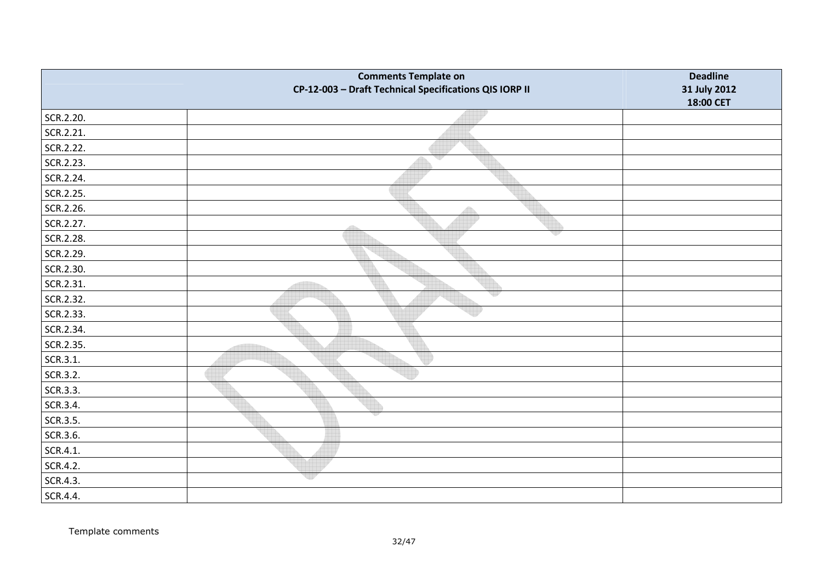|           | <b>Comments Template on</b><br>CP-12-003 - Draft Technical Specifications QIS IORP II | <b>Deadline</b><br>31 July 2012<br>18:00 CET |
|-----------|---------------------------------------------------------------------------------------|----------------------------------------------|
| SCR.2.20. |                                                                                       |                                              |
| SCR.2.21. |                                                                                       |                                              |
| SCR.2.22. |                                                                                       |                                              |
| SCR.2.23. | qy                                                                                    |                                              |
| SCR.2.24. |                                                                                       |                                              |
| SCR.2.25. |                                                                                       |                                              |
| SCR.2.26. |                                                                                       |                                              |
| SCR.2.27. | 455                                                                                   |                                              |
| SCR.2.28. |                                                                                       |                                              |
| SCR.2.29. |                                                                                       |                                              |
| SCR.2.30. |                                                                                       |                                              |
| SCR.2.31. |                                                                                       |                                              |
| SCR.2.32. |                                                                                       |                                              |
| SCR.2.33. |                                                                                       |                                              |
| SCR.2.34. |                                                                                       |                                              |
| SCR.2.35. |                                                                                       |                                              |
| SCR.3.1.  |                                                                                       |                                              |
| SCR.3.2.  |                                                                                       |                                              |
| SCR.3.3.  |                                                                                       |                                              |
| SCR.3.4.  |                                                                                       |                                              |
| SCR.3.5.  |                                                                                       |                                              |
| SCR.3.6.  |                                                                                       |                                              |
| SCR.4.1.  |                                                                                       |                                              |
| SCR.4.2.  |                                                                                       |                                              |
| SCR.4.3.  | eer                                                                                   |                                              |
| SCR.4.4.  |                                                                                       |                                              |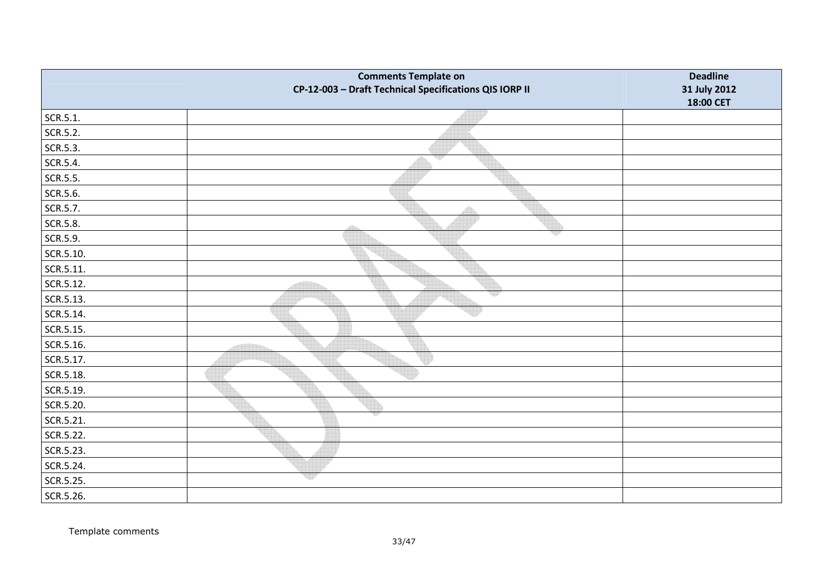|           | <b>Comments Template on</b><br>CP-12-003 - Draft Technical Specifications QIS IORP II | <b>Deadline</b><br>31 July 2012 |
|-----------|---------------------------------------------------------------------------------------|---------------------------------|
|           |                                                                                       | 18:00 CET                       |
| SCR.5.1.  |                                                                                       |                                 |
| SCR.5.2.  |                                                                                       |                                 |
| SCR.5.3.  |                                                                                       |                                 |
| SCR.5.4.  | v                                                                                     |                                 |
| SCR.5.5.  |                                                                                       |                                 |
| SCR.5.6.  |                                                                                       |                                 |
| SCR.5.7.  |                                                                                       |                                 |
| SCR.5.8.  | dillo.                                                                                |                                 |
| SCR.5.9.  | v                                                                                     |                                 |
| SCR.5.10. |                                                                                       |                                 |
| SCR.5.11. |                                                                                       |                                 |
| SCR.5.12. |                                                                                       |                                 |
| SCR.5.13. | qy                                                                                    |                                 |
| SCR.5.14. |                                                                                       |                                 |
| SCR.5.15. |                                                                                       |                                 |
| SCR.5.16. |                                                                                       |                                 |
| SCR.5.17. |                                                                                       |                                 |
| SCR.5.18. |                                                                                       |                                 |
| SCR.5.19. |                                                                                       |                                 |
| SCR.5.20. |                                                                                       |                                 |
| SCR.5.21. |                                                                                       |                                 |
| SCR.5.22. |                                                                                       |                                 |
| SCR.5.23. |                                                                                       |                                 |
| SCR.5.24. |                                                                                       |                                 |
| SCR.5.25. | up                                                                                    |                                 |
| SCR.5.26. |                                                                                       |                                 |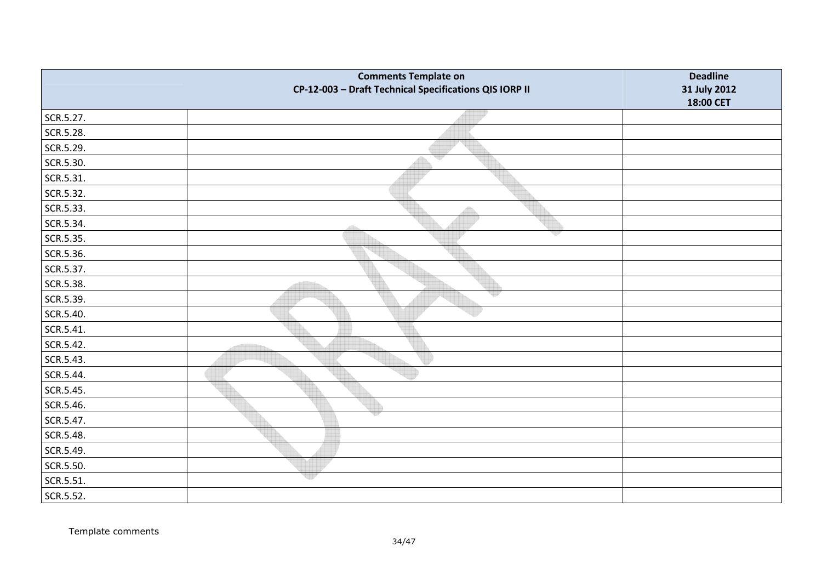|           | <b>Comments Template on</b><br>CP-12-003 - Draft Technical Specifications QIS IORP II | <b>Deadline</b><br>31 July 2012<br>18:00 CET |
|-----------|---------------------------------------------------------------------------------------|----------------------------------------------|
| SCR.5.27. |                                                                                       |                                              |
| SCR.5.28. |                                                                                       |                                              |
| SCR.5.29. |                                                                                       |                                              |
| SCR.5.30. | v                                                                                     |                                              |
| SCR.5.31. |                                                                                       |                                              |
| SCR.5.32. |                                                                                       |                                              |
| SCR.5.33. | $\bigoplus$                                                                           |                                              |
| SCR.5.34. | 49                                                                                    |                                              |
| SCR.5.35. |                                                                                       |                                              |
| SCR.5.36. |                                                                                       |                                              |
| SCR.5.37. |                                                                                       |                                              |
| SCR.5.38. |                                                                                       |                                              |
| SCR.5.39. |                                                                                       |                                              |
| SCR.5.40. |                                                                                       |                                              |
| SCR.5.41. |                                                                                       |                                              |
| SCR.5.42. |                                                                                       |                                              |
| SCR.5.43. |                                                                                       |                                              |
| SCR.5.44. |                                                                                       |                                              |
| SCR.5.45. |                                                                                       |                                              |
| SCR.5.46. |                                                                                       |                                              |
| SCR.5.47. |                                                                                       |                                              |
| SCR.5.48. |                                                                                       |                                              |
| SCR.5.49. |                                                                                       |                                              |
| SCR.5.50. |                                                                                       |                                              |
| SCR.5.51. | ur                                                                                    |                                              |
| SCR.5.52. |                                                                                       |                                              |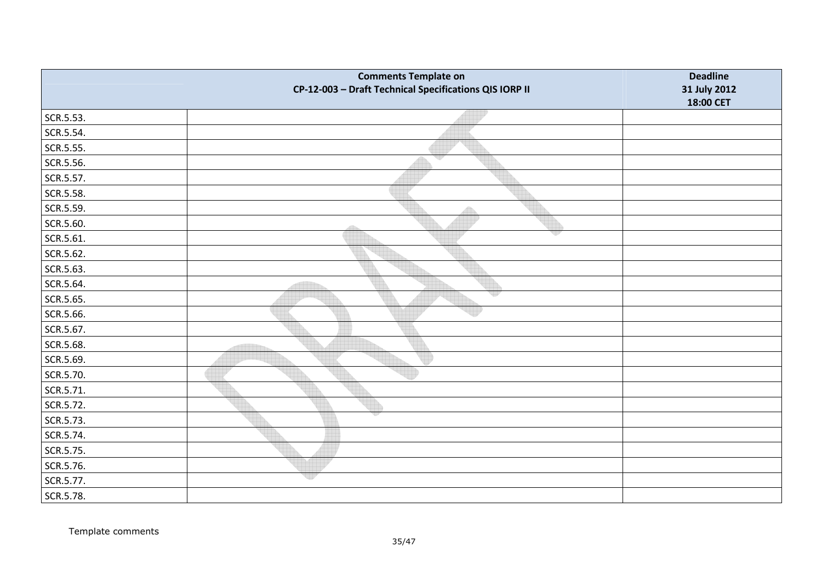|           | <b>Comments Template on</b><br>CP-12-003 - Draft Technical Specifications QIS IORP II | <b>Deadline</b><br>31 July 2012<br>18:00 CET |
|-----------|---------------------------------------------------------------------------------------|----------------------------------------------|
| SCR.5.53. |                                                                                       |                                              |
| SCR.5.54. |                                                                                       |                                              |
| SCR.5.55. |                                                                                       |                                              |
| SCR.5.56. | qy                                                                                    |                                              |
| SCR.5.57. |                                                                                       |                                              |
| SCR.5.58. |                                                                                       |                                              |
| SCR.5.59. | Â                                                                                     |                                              |
| SCR.5.60. | dillo                                                                                 |                                              |
| SCR.5.61. |                                                                                       |                                              |
| SCR.5.62. |                                                                                       |                                              |
| SCR.5.63. |                                                                                       |                                              |
| SCR.5.64. |                                                                                       |                                              |
| SCR.5.65. |                                                                                       |                                              |
| SCR.5.66. |                                                                                       |                                              |
| SCR.5.67. |                                                                                       |                                              |
| SCR.5.68. |                                                                                       |                                              |
| SCR.5.69. |                                                                                       |                                              |
| SCR.5.70. |                                                                                       |                                              |
| SCR.5.71. |                                                                                       |                                              |
| SCR.5.72. |                                                                                       |                                              |
| SCR.5.73. |                                                                                       |                                              |
| SCR.5.74. |                                                                                       |                                              |
| SCR.5.75. |                                                                                       |                                              |
| SCR.5.76. |                                                                                       |                                              |
| SCR.5.77. | ep                                                                                    |                                              |
| SCR.5.78. |                                                                                       |                                              |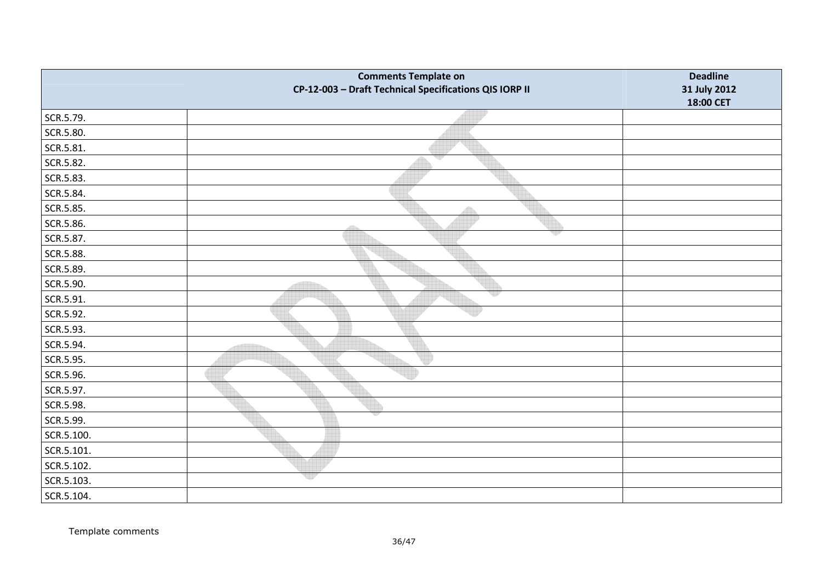|            | <b>Comments Template on</b><br>CP-12-003 - Draft Technical Specifications QIS IORP II | <b>Deadline</b><br>31 July 2012 |
|------------|---------------------------------------------------------------------------------------|---------------------------------|
|            |                                                                                       | 18:00 CET                       |
| SCR.5.79.  |                                                                                       |                                 |
| SCR.5.80.  |                                                                                       |                                 |
| SCR.5.81.  |                                                                                       |                                 |
| SCR.5.82.  | w                                                                                     |                                 |
| SCR.5.83.  |                                                                                       |                                 |
| SCR.5.84.  |                                                                                       |                                 |
| SCR.5.85.  | 40                                                                                    |                                 |
| SCR.5.86.  |                                                                                       |                                 |
| SCR.5.87.  | v                                                                                     |                                 |
| SCR.5.88.  |                                                                                       |                                 |
| SCR.5.89.  |                                                                                       |                                 |
| SCR.5.90.  |                                                                                       |                                 |
| SCR.5.91.  | 제법                                                                                    |                                 |
| SCR.5.92.  |                                                                                       |                                 |
| SCR.5.93.  |                                                                                       |                                 |
| SCR.5.94.  |                                                                                       |                                 |
| SCR.5.95.  |                                                                                       |                                 |
| SCR.5.96.  |                                                                                       |                                 |
| SCR.5.97.  |                                                                                       |                                 |
| SCR.5.98.  |                                                                                       |                                 |
| SCR.5.99.  |                                                                                       |                                 |
| SCR.5.100. |                                                                                       |                                 |
| SCR.5.101. |                                                                                       |                                 |
| SCR.5.102. |                                                                                       |                                 |
| SCR.5.103. | 비가                                                                                    |                                 |
| SCR.5.104. |                                                                                       |                                 |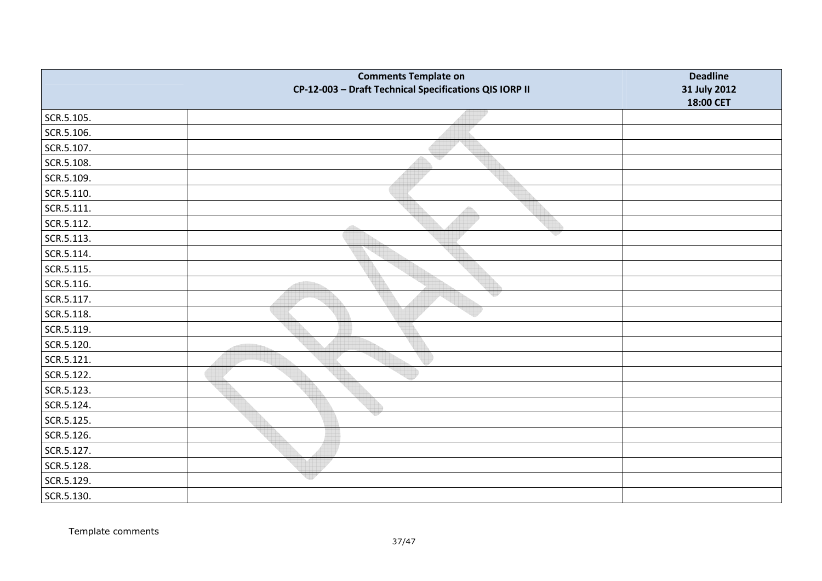|            | <b>Comments Template on</b><br>CP-12-003 - Draft Technical Specifications QIS IORP II | <b>Deadline</b><br>31 July 2012 |
|------------|---------------------------------------------------------------------------------------|---------------------------------|
|            |                                                                                       | 18:00 CET                       |
| SCR.5.105. |                                                                                       |                                 |
| SCR.5.106. |                                                                                       |                                 |
| SCR.5.107. |                                                                                       |                                 |
| SCR.5.108. | v                                                                                     |                                 |
| SCR.5.109. |                                                                                       |                                 |
| SCR.5.110. |                                                                                       |                                 |
| SCR.5.111. | 4                                                                                     |                                 |
| SCR.5.112. |                                                                                       |                                 |
| SCR.5.113. | v                                                                                     |                                 |
| SCR.5.114. |                                                                                       |                                 |
| SCR.5.115. |                                                                                       |                                 |
| SCR.5.116. |                                                                                       |                                 |
| SCR.5.117. | 백원                                                                                    |                                 |
| SCR.5.118. |                                                                                       |                                 |
| SCR.5.119. |                                                                                       |                                 |
| SCR.5.120. |                                                                                       |                                 |
| SCR.5.121. |                                                                                       |                                 |
| SCR.5.122. |                                                                                       |                                 |
| SCR.5.123. |                                                                                       |                                 |
| SCR.5.124. |                                                                                       |                                 |
| SCR.5.125. |                                                                                       |                                 |
| SCR.5.126. |                                                                                       |                                 |
| SCR.5.127. |                                                                                       |                                 |
| SCR.5.128. |                                                                                       |                                 |
| SCR.5.129. | 제가                                                                                    |                                 |
| SCR.5.130. |                                                                                       |                                 |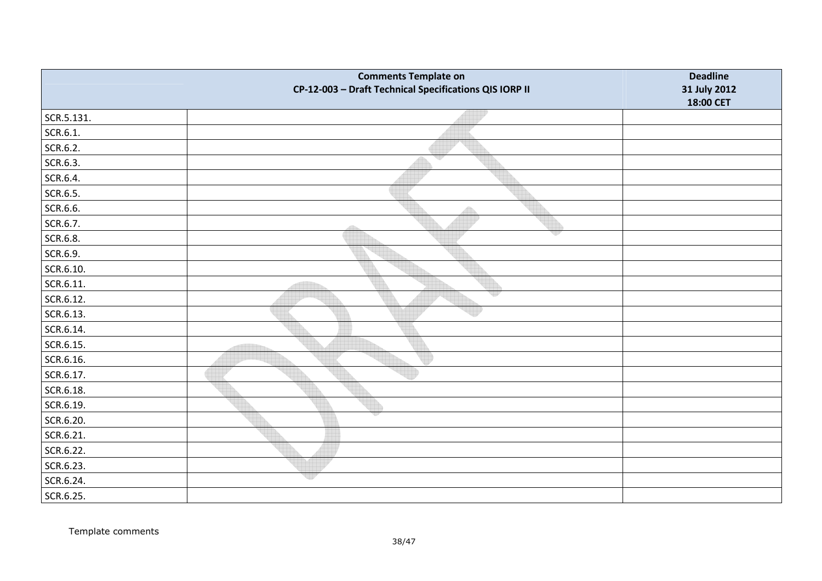|            | <b>Comments Template on</b><br>CP-12-003 - Draft Technical Specifications QIS IORP II | <b>Deadline</b><br>31 July 2012<br>18:00 CET |
|------------|---------------------------------------------------------------------------------------|----------------------------------------------|
| SCR.5.131. |                                                                                       |                                              |
| SCR.6.1.   |                                                                                       |                                              |
| SCR.6.2.   |                                                                                       |                                              |
| SCR.6.3.   | qy                                                                                    |                                              |
| SCR.6.4.   |                                                                                       |                                              |
| SCR.6.5.   |                                                                                       |                                              |
| SCR.6.6.   |                                                                                       |                                              |
| SCR.6.7.   |                                                                                       |                                              |
| SCR.6.8.   |                                                                                       |                                              |
| SCR.6.9.   |                                                                                       |                                              |
| SCR.6.10.  |                                                                                       |                                              |
| SCR.6.11.  |                                                                                       |                                              |
| SCR.6.12.  |                                                                                       |                                              |
| SCR.6.13.  |                                                                                       |                                              |
| SCR.6.14.  |                                                                                       |                                              |
| SCR.6.15.  |                                                                                       |                                              |
| SCR.6.16.  |                                                                                       |                                              |
| SCR.6.17.  |                                                                                       |                                              |
| SCR.6.18.  |                                                                                       |                                              |
| SCR.6.19.  |                                                                                       |                                              |
| SCR.6.20.  |                                                                                       |                                              |
| SCR.6.21.  |                                                                                       |                                              |
| SCR.6.22.  |                                                                                       |                                              |
| SCR.6.23.  |                                                                                       |                                              |
| SCR.6.24.  | er                                                                                    |                                              |
| SCR.6.25.  |                                                                                       |                                              |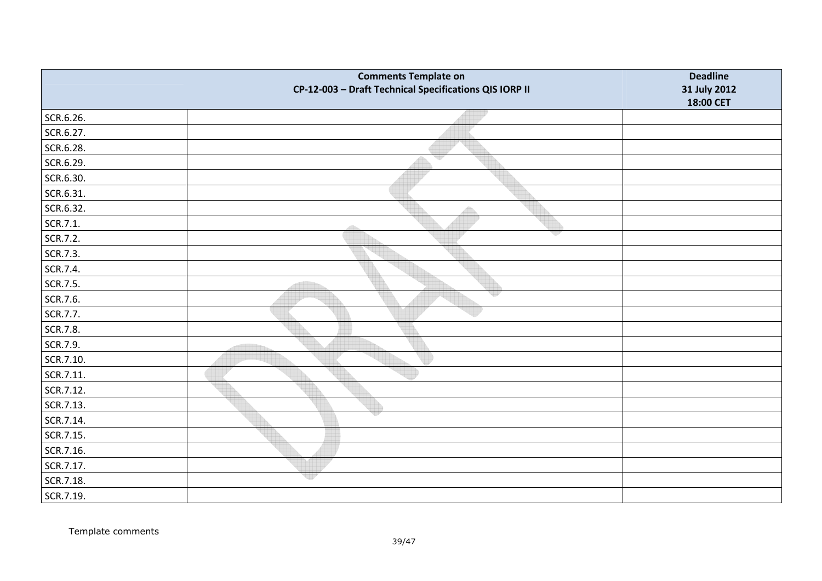|           | <b>Comments Template on</b><br>CP-12-003 - Draft Technical Specifications QIS IORP II | <b>Deadline</b><br>31 July 2012 |
|-----------|---------------------------------------------------------------------------------------|---------------------------------|
|           |                                                                                       | 18:00 CET                       |
| SCR.6.26. |                                                                                       |                                 |
| SCR.6.27. |                                                                                       |                                 |
| SCR.6.28. |                                                                                       |                                 |
| SCR.6.29. | v                                                                                     |                                 |
| SCR.6.30. |                                                                                       |                                 |
| SCR.6.31. |                                                                                       |                                 |
| SCR.6.32. |                                                                                       |                                 |
| SCR.7.1.  | dillo.                                                                                |                                 |
| SCR.7.2.  | v                                                                                     |                                 |
| SCR.7.3.  |                                                                                       |                                 |
| SCR.7.4.  |                                                                                       |                                 |
| SCR.7.5.  |                                                                                       |                                 |
| SCR.7.6.  | qy                                                                                    |                                 |
| SCR.7.7.  |                                                                                       |                                 |
| SCR.7.8.  |                                                                                       |                                 |
| SCR.7.9.  |                                                                                       |                                 |
| SCR.7.10. |                                                                                       |                                 |
| SCR.7.11. |                                                                                       |                                 |
| SCR.7.12. |                                                                                       |                                 |
| SCR.7.13. |                                                                                       |                                 |
| SCR.7.14. |                                                                                       |                                 |
| SCR.7.15. |                                                                                       |                                 |
| SCR.7.16. |                                                                                       |                                 |
| SCR.7.17. |                                                                                       |                                 |
| SCR.7.18. | w                                                                                     |                                 |
| SCR.7.19. |                                                                                       |                                 |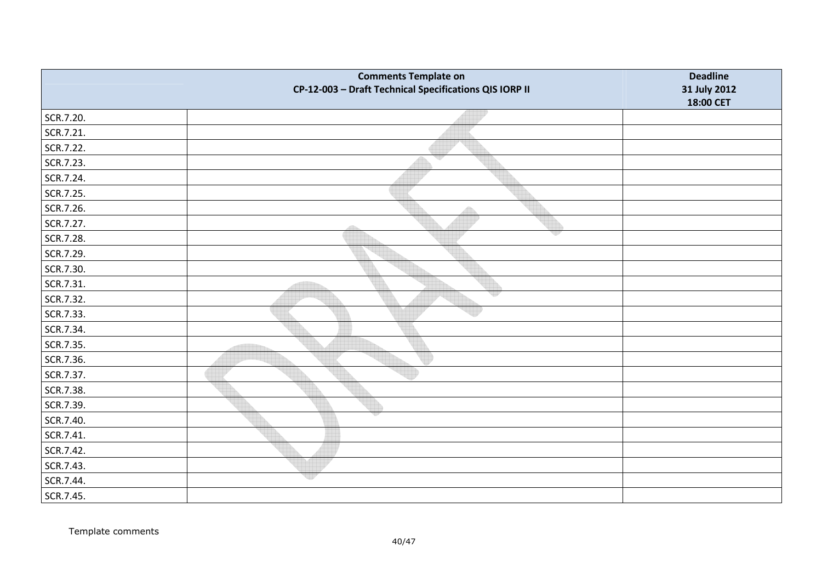|           | <b>Comments Template on</b><br>CP-12-003 - Draft Technical Specifications QIS IORP II | <b>Deadline</b><br>31 July 2012<br>18:00 CET |
|-----------|---------------------------------------------------------------------------------------|----------------------------------------------|
| SCR.7.20. |                                                                                       |                                              |
| SCR.7.21. |                                                                                       |                                              |
| SCR.7.22. |                                                                                       |                                              |
| SCR.7.23. | ₩                                                                                     |                                              |
| SCR.7.24. |                                                                                       |                                              |
| SCR.7.25. |                                                                                       |                                              |
| SCR.7.26. | Â                                                                                     |                                              |
| SCR.7.27. | 49                                                                                    |                                              |
| SCR.7.28. |                                                                                       |                                              |
| SCR.7.29. |                                                                                       |                                              |
| SCR.7.30. |                                                                                       |                                              |
| SCR.7.31. |                                                                                       |                                              |
| SCR.7.32. |                                                                                       |                                              |
| SCR.7.33. |                                                                                       |                                              |
| SCR.7.34. |                                                                                       |                                              |
| SCR.7.35. |                                                                                       |                                              |
| SCR.7.36. |                                                                                       |                                              |
| SCR.7.37. |                                                                                       |                                              |
| SCR.7.38. |                                                                                       |                                              |
| SCR.7.39. |                                                                                       |                                              |
| SCR.7.40. |                                                                                       |                                              |
| SCR.7.41. |                                                                                       |                                              |
| SCR.7.42. |                                                                                       |                                              |
| SCR.7.43. |                                                                                       |                                              |
| SCR.7.44. | ur                                                                                    |                                              |
| SCR.7.45. |                                                                                       |                                              |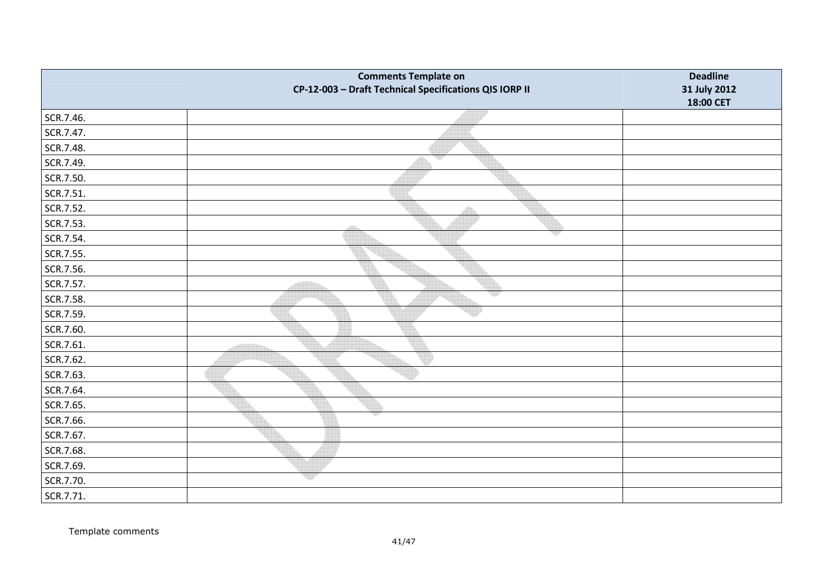|           | <b>Comments Template on</b><br>CP-12-003 - Draft Technical Specifications QIS IORP II | <b>Deadline</b><br>31 July 2012 |
|-----------|---------------------------------------------------------------------------------------|---------------------------------|
|           |                                                                                       | 18:00 CET                       |
| SCR.7.46. |                                                                                       |                                 |
| SCR.7.47. |                                                                                       |                                 |
| SCR.7.48. |                                                                                       |                                 |
| SCR.7.49. | w                                                                                     |                                 |
| SCR.7.50. |                                                                                       |                                 |
| SCR.7.51. |                                                                                       |                                 |
| SCR.7.52. | A                                                                                     |                                 |
| SCR.7.53. |                                                                                       |                                 |
| SCR.7.54. | v                                                                                     |                                 |
| SCR.7.55. |                                                                                       |                                 |
| SCR.7.56. |                                                                                       |                                 |
| SCR.7.57. |                                                                                       |                                 |
| SCR.7.58. | 제공                                                                                    |                                 |
| SCR.7.59. |                                                                                       |                                 |
| SCR.7.60. |                                                                                       |                                 |
| SCR.7.61. |                                                                                       |                                 |
| SCR.7.62. |                                                                                       |                                 |
| SCR.7.63. |                                                                                       |                                 |
| SCR.7.64. |                                                                                       |                                 |
| SCR.7.65. |                                                                                       |                                 |
| SCR.7.66. |                                                                                       |                                 |
| SCR.7.67. |                                                                                       |                                 |
| SCR.7.68. |                                                                                       |                                 |
| SCR.7.69. |                                                                                       |                                 |
| SCR.7.70. | ep                                                                                    |                                 |
| SCR.7.71. |                                                                                       |                                 |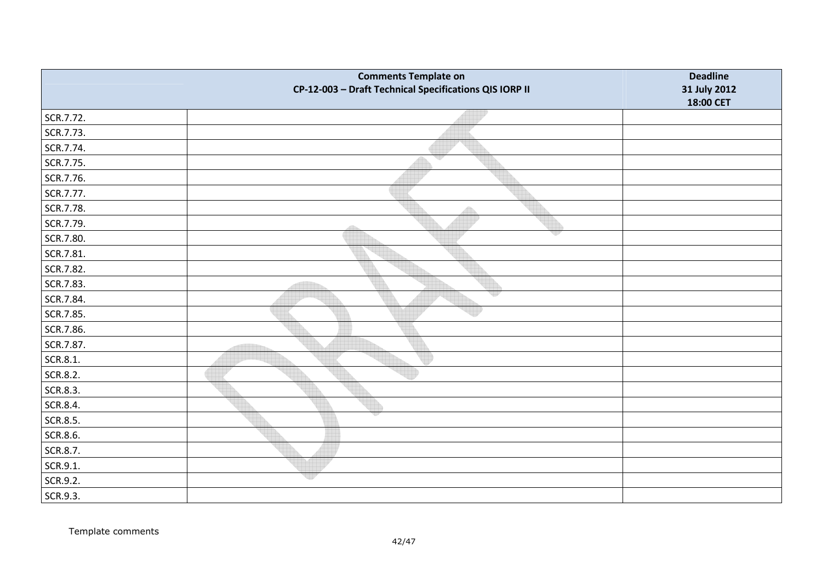|           | <b>Comments Template on</b><br>CP-12-003 - Draft Technical Specifications QIS IORP II | <b>Deadline</b><br>31 July 2012 |
|-----------|---------------------------------------------------------------------------------------|---------------------------------|
|           |                                                                                       | 18:00 CET                       |
| SCR.7.72. |                                                                                       |                                 |
| SCR.7.73. |                                                                                       |                                 |
| SCR.7.74. |                                                                                       |                                 |
| SCR.7.75. | v                                                                                     |                                 |
| SCR.7.76. |                                                                                       |                                 |
| SCR.7.77. |                                                                                       |                                 |
| SCR.7.78. |                                                                                       |                                 |
| SCR.7.79. | dh                                                                                    |                                 |
| SCR.7.80. | v                                                                                     |                                 |
| SCR.7.81. |                                                                                       |                                 |
| SCR.7.82. |                                                                                       |                                 |
| SCR.7.83. |                                                                                       |                                 |
| SCR.7.84. | qy                                                                                    |                                 |
| SCR.7.85. |                                                                                       |                                 |
| SCR.7.86. |                                                                                       |                                 |
| SCR.7.87. |                                                                                       |                                 |
| SCR.8.1.  |                                                                                       |                                 |
| SCR.8.2.  |                                                                                       |                                 |
| SCR.8.3.  |                                                                                       |                                 |
| SCR.8.4.  |                                                                                       |                                 |
| SCR.8.5.  |                                                                                       |                                 |
| SCR.8.6.  |                                                                                       |                                 |
| SCR.8.7.  |                                                                                       |                                 |
| SCR.9.1.  |                                                                                       |                                 |
| SCR.9.2.  | w                                                                                     |                                 |
| SCR.9.3.  |                                                                                       |                                 |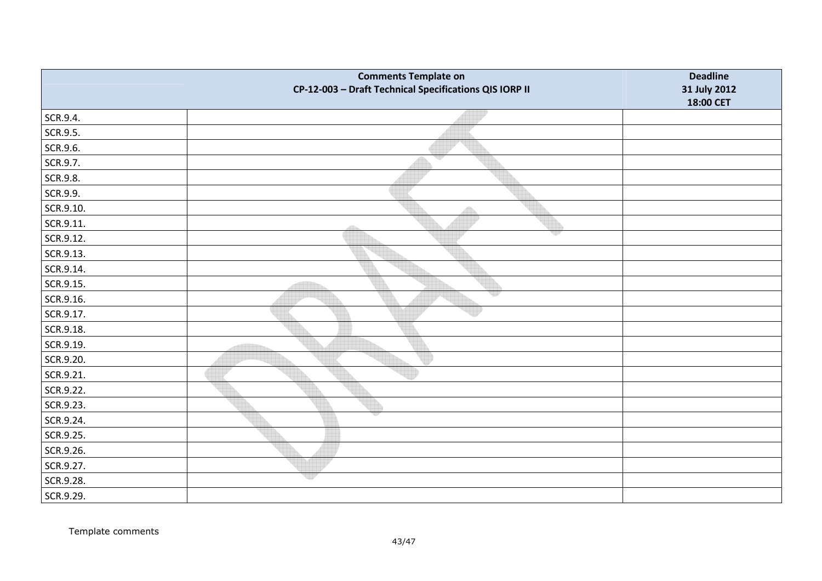|           | <b>Comments Template on</b><br>CP-12-003 - Draft Technical Specifications QIS IORP II | <b>Deadline</b><br>31 July 2012<br>18:00 CET |
|-----------|---------------------------------------------------------------------------------------|----------------------------------------------|
| SCR.9.4.  |                                                                                       |                                              |
| SCR.9.5.  |                                                                                       |                                              |
| SCR.9.6.  |                                                                                       |                                              |
| SCR.9.7.  | v                                                                                     |                                              |
| SCR.9.8.  |                                                                                       |                                              |
| SCR.9.9.  |                                                                                       |                                              |
| SCR.9.10. | $\diamond$                                                                            |                                              |
| SCR.9.11. | 4535                                                                                  |                                              |
| SCR.9.12. |                                                                                       |                                              |
| SCR.9.13. |                                                                                       |                                              |
| SCR.9.14. |                                                                                       |                                              |
| SCR.9.15. |                                                                                       |                                              |
| SCR.9.16. |                                                                                       |                                              |
| SCR.9.17. |                                                                                       |                                              |
| SCR.9.18. |                                                                                       |                                              |
| SCR.9.19. |                                                                                       |                                              |
| SCR.9.20. |                                                                                       |                                              |
| SCR.9.21. |                                                                                       |                                              |
| SCR.9.22. |                                                                                       |                                              |
| SCR.9.23. |                                                                                       |                                              |
| SCR.9.24. |                                                                                       |                                              |
| SCR.9.25. |                                                                                       |                                              |
| SCR.9.26. |                                                                                       |                                              |
| SCR.9.27. |                                                                                       |                                              |
| SCR.9.28. | 제가                                                                                    |                                              |
| SCR.9.29. |                                                                                       |                                              |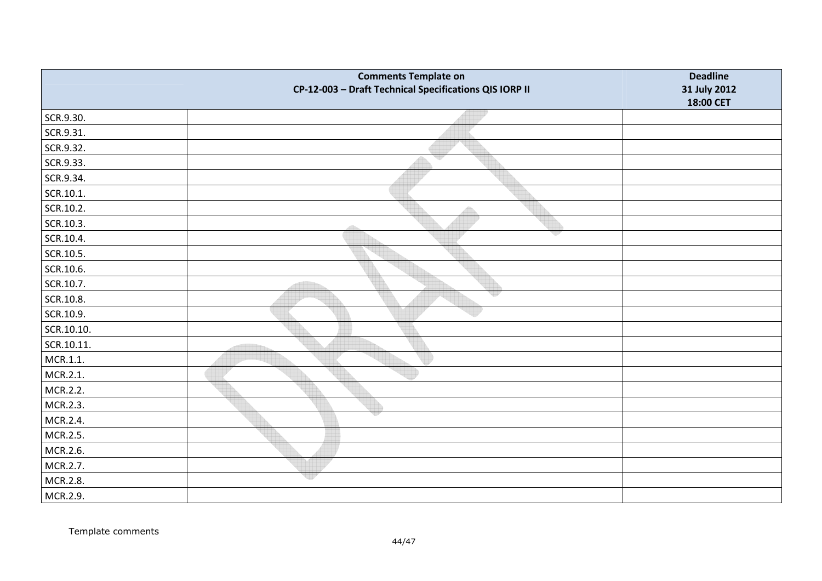|            | <b>Comments Template on</b><br>CP-12-003 - Draft Technical Specifications QIS IORP II | <b>Deadline</b><br>31 July 2012<br>18:00 CET |
|------------|---------------------------------------------------------------------------------------|----------------------------------------------|
| SCR.9.30.  |                                                                                       |                                              |
| SCR.9.31.  |                                                                                       |                                              |
| SCR.9.32.  |                                                                                       |                                              |
| SCR.9.33.  | qy                                                                                    |                                              |
| SCR.9.34.  |                                                                                       |                                              |
| SCR.10.1.  |                                                                                       |                                              |
| SCR.10.2.  | Â                                                                                     |                                              |
| SCR.10.3.  | 455                                                                                   |                                              |
| SCR.10.4.  |                                                                                       |                                              |
| SCR.10.5.  |                                                                                       |                                              |
| SCR.10.6.  |                                                                                       |                                              |
| SCR.10.7.  |                                                                                       |                                              |
| SCR.10.8.  |                                                                                       |                                              |
| SCR.10.9.  |                                                                                       |                                              |
| SCR.10.10. |                                                                                       |                                              |
| SCR.10.11. |                                                                                       |                                              |
| MCR.1.1.   |                                                                                       |                                              |
| MCR.2.1.   |                                                                                       |                                              |
| MCR.2.2.   |                                                                                       |                                              |
| MCR.2.3.   |                                                                                       |                                              |
| MCR.2.4.   |                                                                                       |                                              |
| MCR.2.5.   |                                                                                       |                                              |
| MCR.2.6.   |                                                                                       |                                              |
| MCR.2.7.   |                                                                                       |                                              |
| MCR.2.8.   | ep                                                                                    |                                              |
| MCR.2.9.   |                                                                                       |                                              |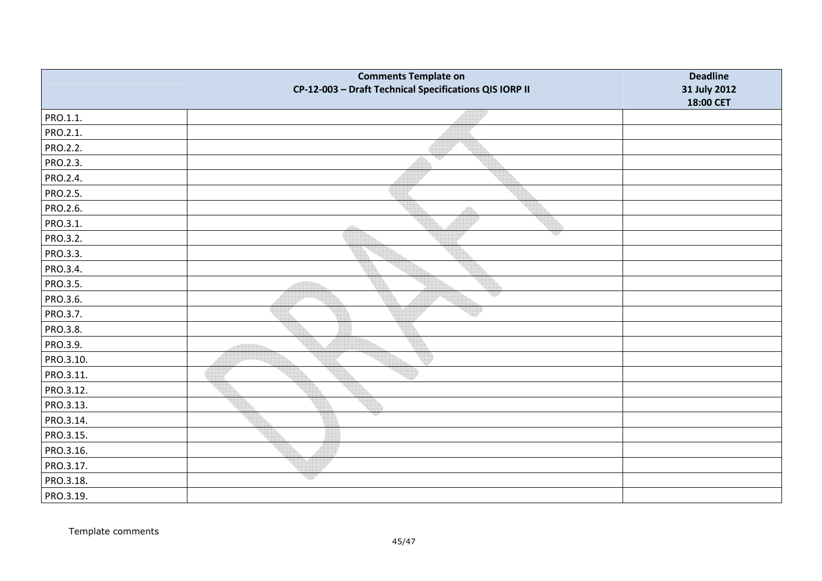|           | <b>Comments Template on</b><br>CP-12-003 - Draft Technical Specifications QIS IORP II | <b>Deadline</b><br>31 July 2012 |
|-----------|---------------------------------------------------------------------------------------|---------------------------------|
|           |                                                                                       | 18:00 CET                       |
| PRO.1.1.  |                                                                                       |                                 |
| PRO.2.1.  |                                                                                       |                                 |
| PRO.2.2.  |                                                                                       |                                 |
| PRO.2.3.  | v                                                                                     |                                 |
| PRO.2.4.  |                                                                                       |                                 |
| PRO.2.5.  |                                                                                       |                                 |
| PRO.2.6.  | Æ                                                                                     |                                 |
| PRO.3.1.  |                                                                                       |                                 |
| PRO.3.2.  | v                                                                                     |                                 |
| PRO.3.3.  |                                                                                       |                                 |
| PRO.3.4.  |                                                                                       |                                 |
| PRO.3.5.  |                                                                                       |                                 |
| PRO.3.6.  | 적인                                                                                    |                                 |
| PRO.3.7.  |                                                                                       |                                 |
| PRO.3.8.  |                                                                                       |                                 |
| PRO.3.9.  |                                                                                       |                                 |
| PRO.3.10. |                                                                                       |                                 |
| PRO.3.11. |                                                                                       |                                 |
| PRO.3.12. |                                                                                       |                                 |
| PRO.3.13. |                                                                                       |                                 |
| PRO.3.14. |                                                                                       |                                 |
| PRO.3.15. |                                                                                       |                                 |
| PRO.3.16. |                                                                                       |                                 |
| PRO.3.17. |                                                                                       |                                 |
| PRO.3.18. | er                                                                                    |                                 |
| PRO.3.19. |                                                                                       |                                 |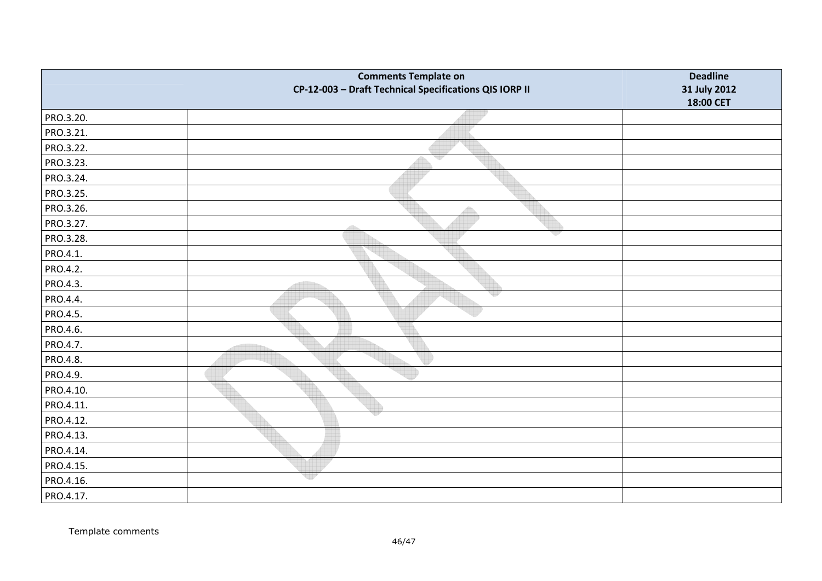|           | <b>Comments Template on</b><br>CP-12-003 - Draft Technical Specifications QIS IORP II | <b>Deadline</b><br>31 July 2012 |
|-----------|---------------------------------------------------------------------------------------|---------------------------------|
|           |                                                                                       | 18:00 CET                       |
| PRO.3.20. |                                                                                       |                                 |
| PRO.3.21. |                                                                                       |                                 |
| PRO.3.22. |                                                                                       |                                 |
| PRO.3.23. | v                                                                                     |                                 |
| PRO.3.24. |                                                                                       |                                 |
| PRO.3.25. |                                                                                       |                                 |
| PRO.3.26. | 40.                                                                                   |                                 |
| PRO.3.27. |                                                                                       |                                 |
| PRO.3.28. | vp                                                                                    |                                 |
| PRO.4.1.  |                                                                                       |                                 |
| PRO.4.2.  |                                                                                       |                                 |
| PRO.4.3.  |                                                                                       |                                 |
| PRO.4.4.  | 적인                                                                                    |                                 |
| PRO.4.5.  |                                                                                       |                                 |
| PRO.4.6.  |                                                                                       |                                 |
| PRO.4.7.  |                                                                                       |                                 |
| PRO.4.8.  |                                                                                       |                                 |
| PRO.4.9.  |                                                                                       |                                 |
| PRO.4.10. |                                                                                       |                                 |
| PRO.4.11. |                                                                                       |                                 |
| PRO.4.12. |                                                                                       |                                 |
| PRO.4.13. |                                                                                       |                                 |
| PRO.4.14. |                                                                                       |                                 |
| PRO.4.15. |                                                                                       |                                 |
| PRO.4.16. | er                                                                                    |                                 |
| PRO.4.17. |                                                                                       |                                 |